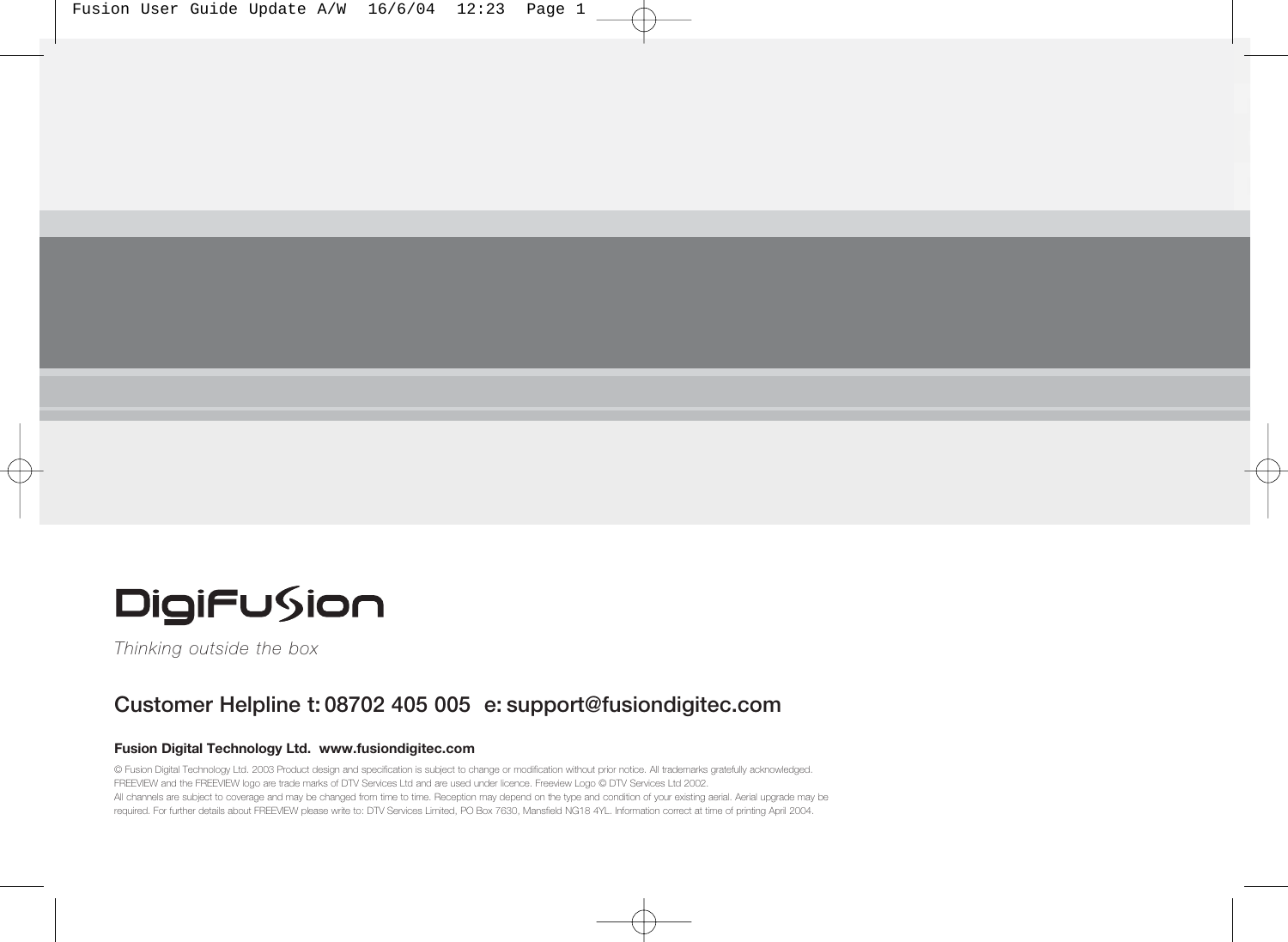| Fusion User Guide Update A/W 16/6/04 12:23 Page 1 |  |  |  |  |  |  |  |
|---------------------------------------------------|--|--|--|--|--|--|--|
|---------------------------------------------------|--|--|--|--|--|--|--|



*Thinking outside the box*

### **Customer Helpline t: 08702 405 005 e: support@fusiondigitec.com**

#### **Fusion Digital Technology Ltd. www.fusiondigitec.com**

© Fusion Digital Technology Ltd. 2003 Product design and specification is subject to change or modification without prior notice. All trademarks gratefully acknowledged. FREEVIEW and the FREEVIEW logo are trade marks of DTV Services Ltd and are used under licence. Freeview Logo © DTV Services Ltd 2002. All channels are subject to coverage and may be changed from time to time. Reception may depend on the type and condition of your existing aerial. Aerial upgrade may be required. For further details about FREEVIEW please write to: DTV Services Limited, PO Box 7630, Mansfield NG18 4YL. Information correct at time of printing April 2004.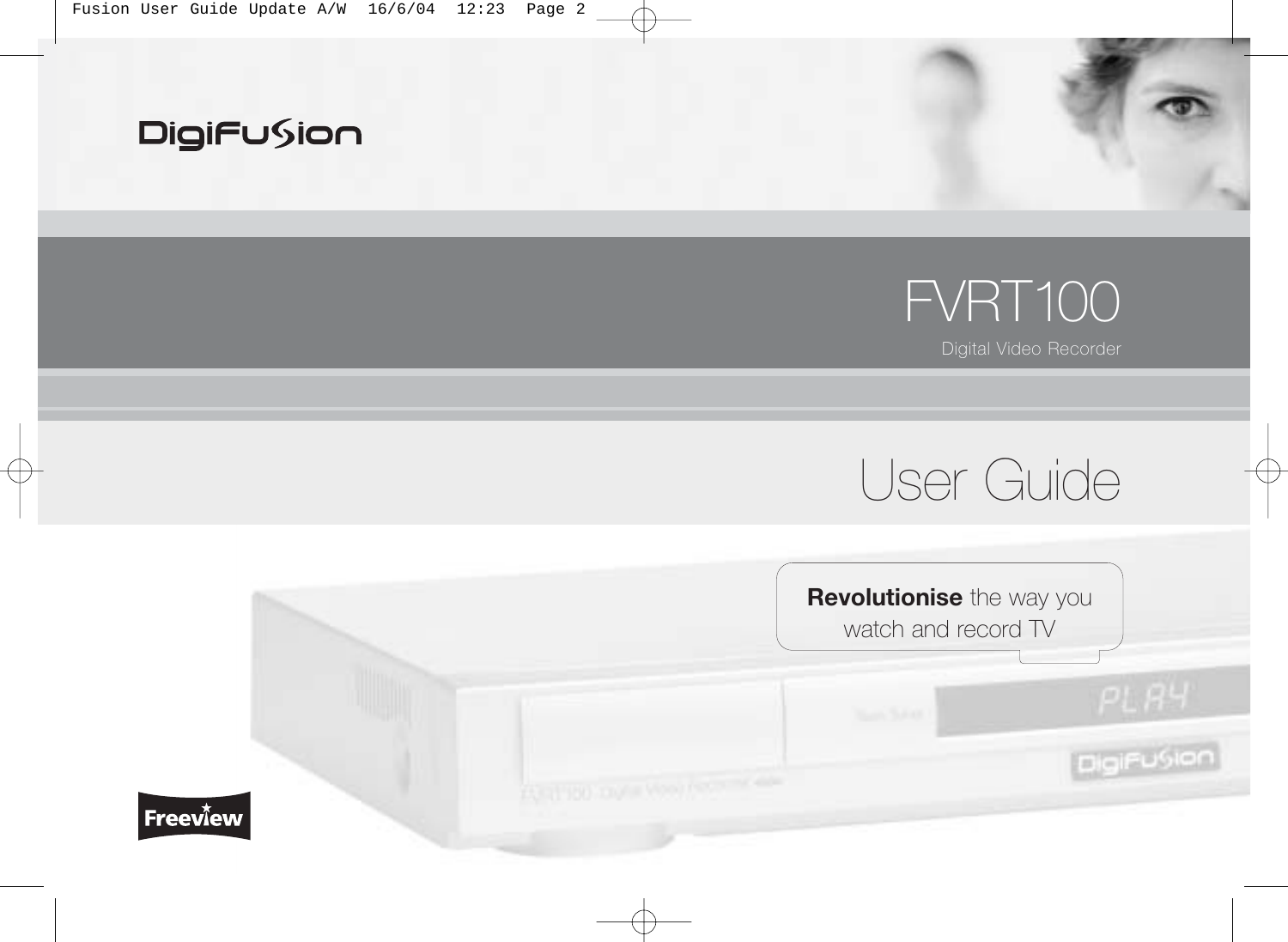

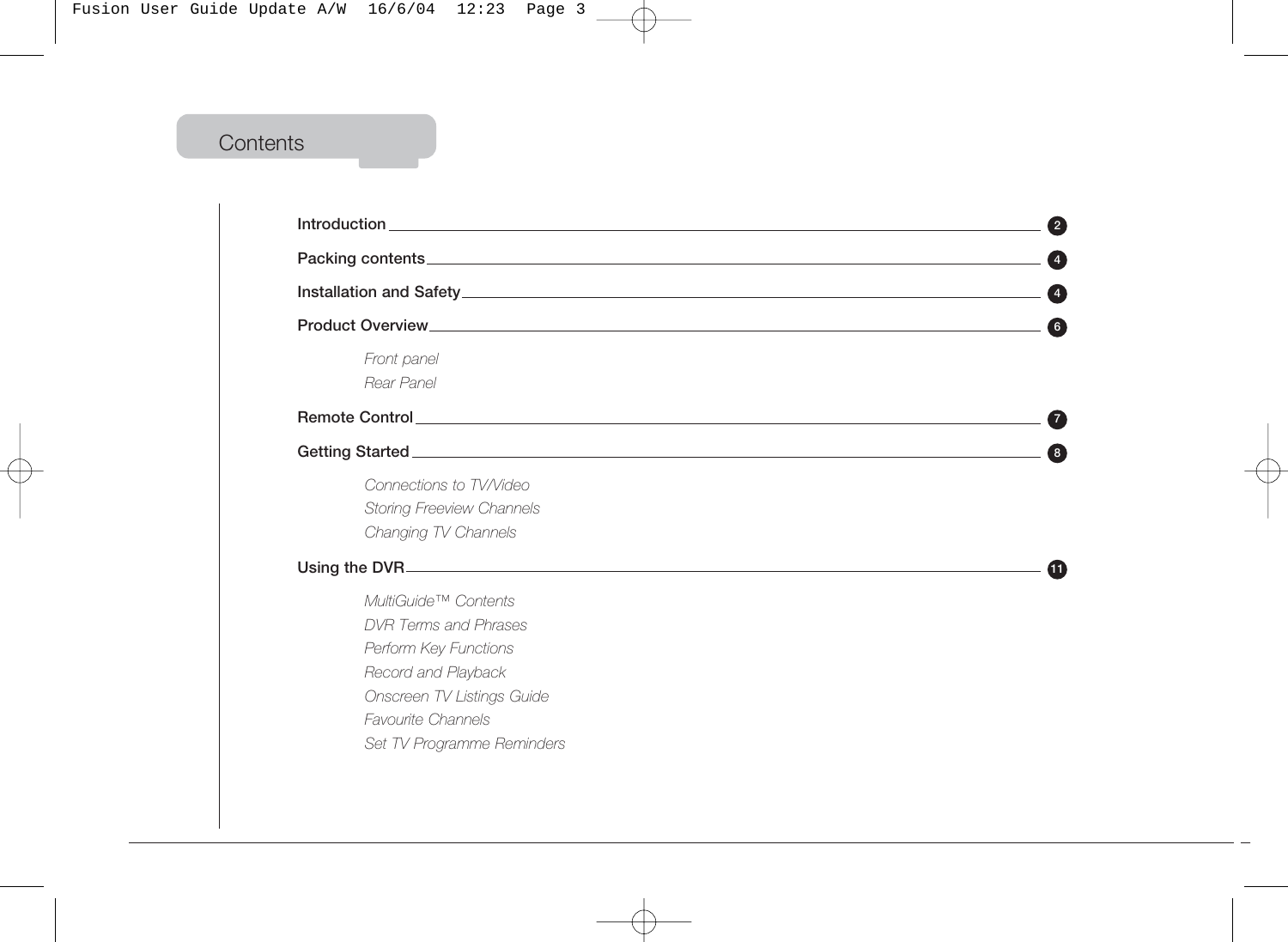# **Contents**

| Packing contents <b>Exercise Contents</b> and the content of the content of the content of the content of the content of                                                               | $\overline{4}$ |  |
|----------------------------------------------------------------------------------------------------------------------------------------------------------------------------------------|----------------|--|
|                                                                                                                                                                                        |                |  |
|                                                                                                                                                                                        | 6              |  |
| Front panel<br>Rear Panel                                                                                                                                                              |                |  |
|                                                                                                                                                                                        |                |  |
|                                                                                                                                                                                        | 8              |  |
| Connections to TV/Video<br><b>Storing Freeview Channels</b><br>Changing TV Channels                                                                                                    |                |  |
| Using the DVR                                                                                                                                                                          | (11)           |  |
| MultiGuide™ Contents<br>DVR Terms and Phrases<br>Perform Key Functions<br>Record and Playback<br>Onscreen TV Listings Guide<br><b>Favourite Channels</b><br>Set TV Programme Reminders |                |  |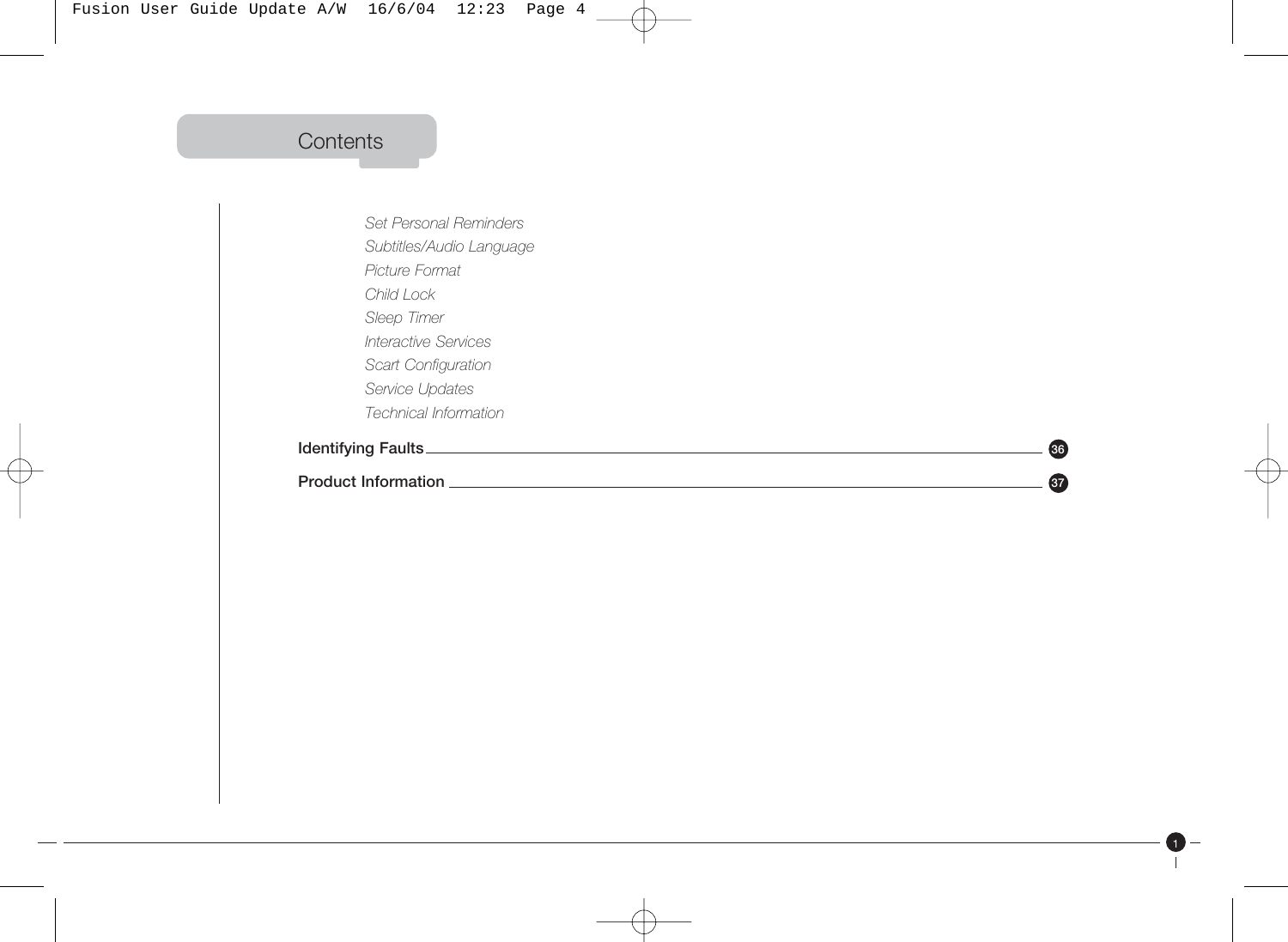# **Contents**

*Set Personal Reminders Subtitles/Audio Language Picture Format Child Lock Sleep Timer Interactive Services Scart Configuration Service Updates Technical Information* **Identifying Faults 36**

**Product Information** 2008 **37***A*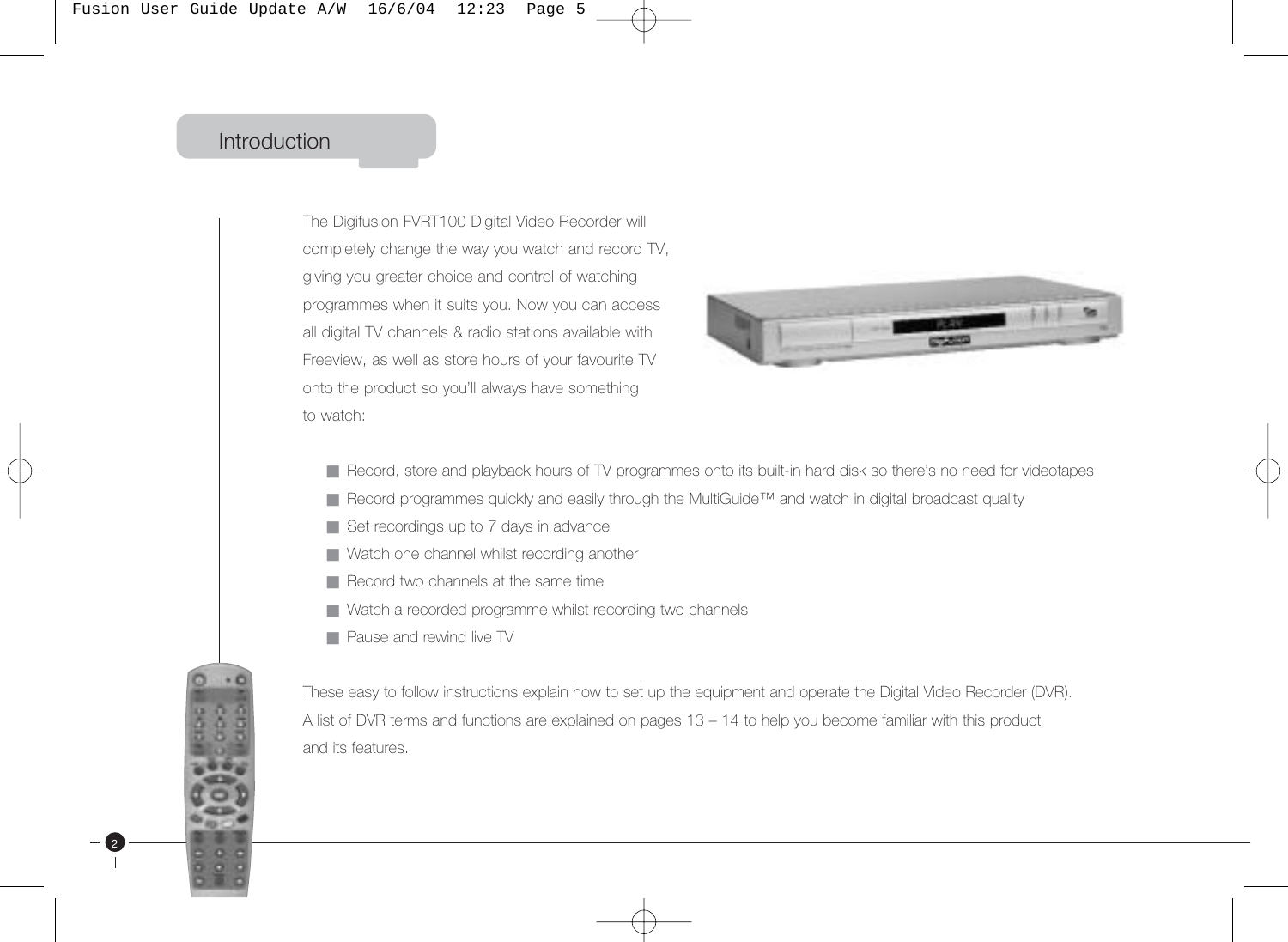### Introduction

2

The Digifusion FVRT100 Digital Video Recorder will completely change the way you watch and record TV, giving you greater choice and control of watching programmes when it suits you. Now you can access all digital TV channels & radio stations available with Freeview, as well as store hours of your favourite TV onto the product so you'll always have something to watch:



- Record, store and playback hours of TV programmes onto its built-in hard disk so there's no need for videotapes
- Record programmes quickly and easily through the MultiGuide™ and watch in digital broadcast quality
- Set recordings up to 7 days in advance
- Watch one channel whilst recording another
- Record two channels at the same time
- Watch a recorded programme whilst recording two channels
- Pause and rewind live TV

These easy to follow instructions explain how to set up the equipment and operate the Digital Video Recorder (DVR). A list of DVR terms and functions are explained on pages 13 – 14 to help you become familiar with this product and its features.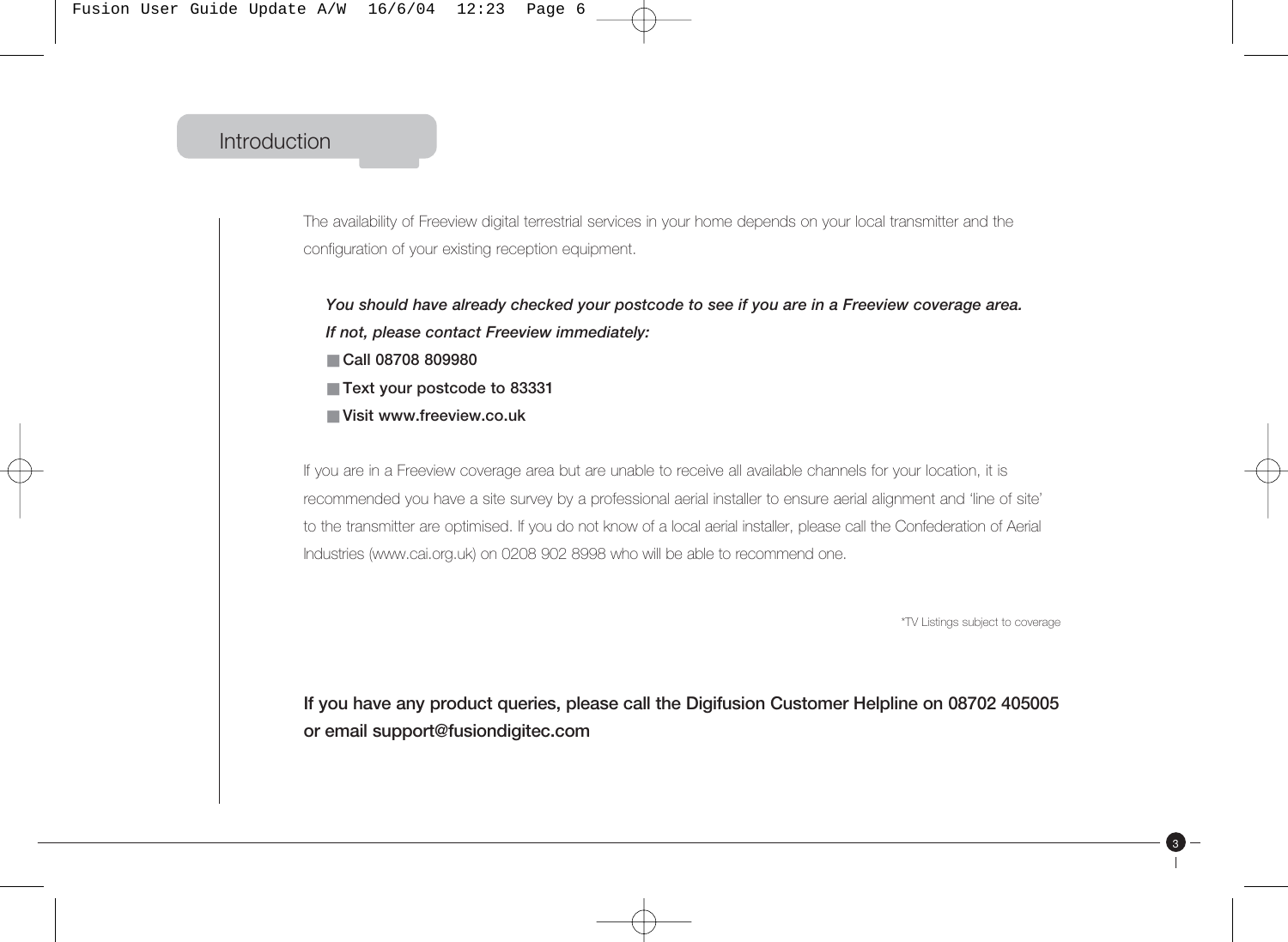### Introduction

The availability of Freeview digital terrestrial services in your home depends on your local transmitter and the configuration of your existing reception equipment.

*You should have already checked your postcode to see if you are in a Freeview coverage area. If not, please contact Freeview immediately:* ■ **Call 08708 809980**

- **Text your postcode to 83331**
- **Visit www.freeview.co.uk**

If you are in a Freeview coverage area but are unable to receive all available channels for your location, it is recommended you have a site survey by a professional aerial installer to ensure aerial alignment and 'line of site' to the transmitter are optimised. If you do not know of a local aerial installer, please call the Confederation of Aerial Industries (www.cai.org.uk) on 0208 902 8998 who will be able to recommend one.

\*TV Listings subject to coverage

3

**If you have any product queries, please call the Digifusion Customer Helpline on 08702 405005 or email support@fusiondigitec.com**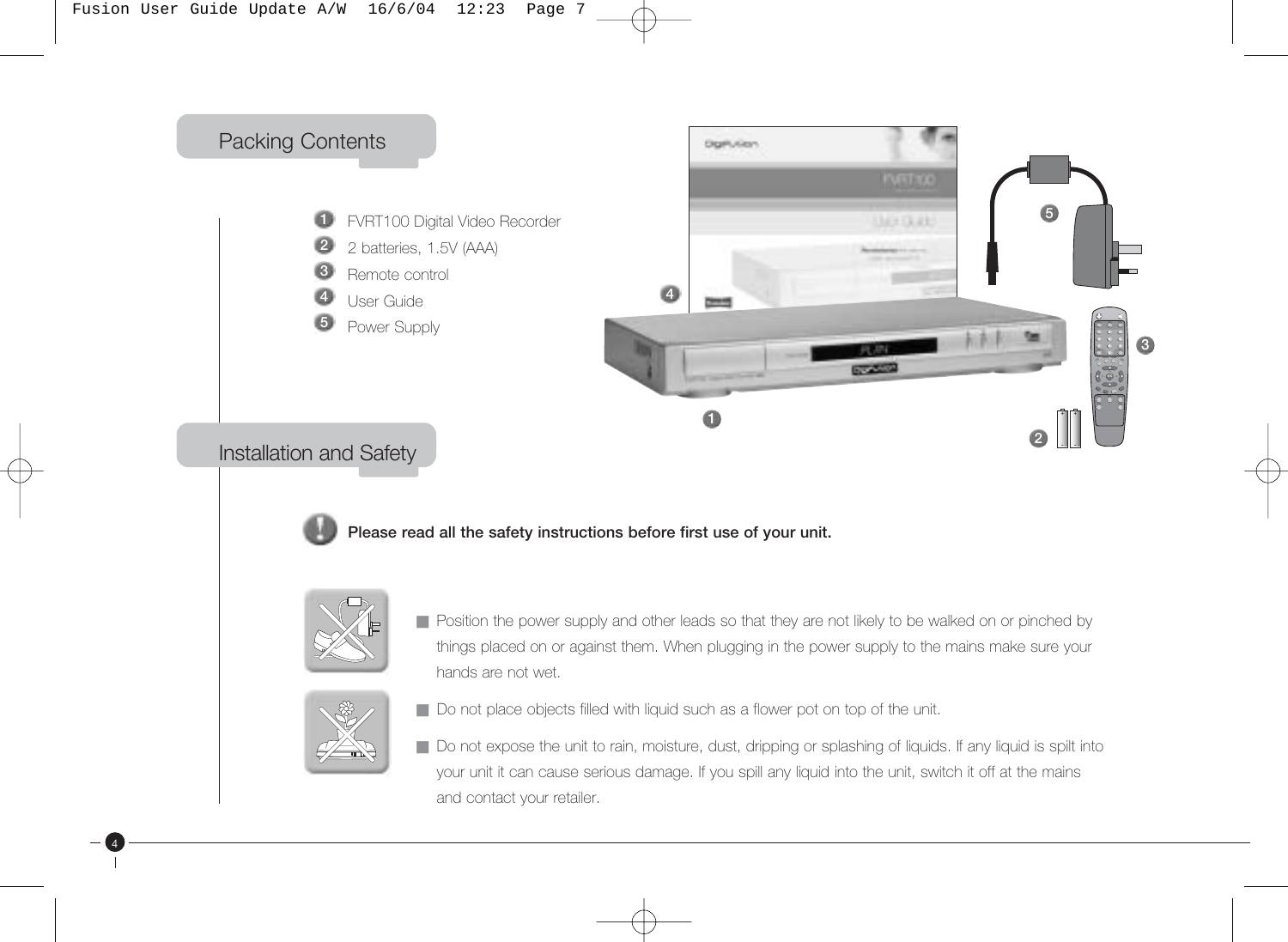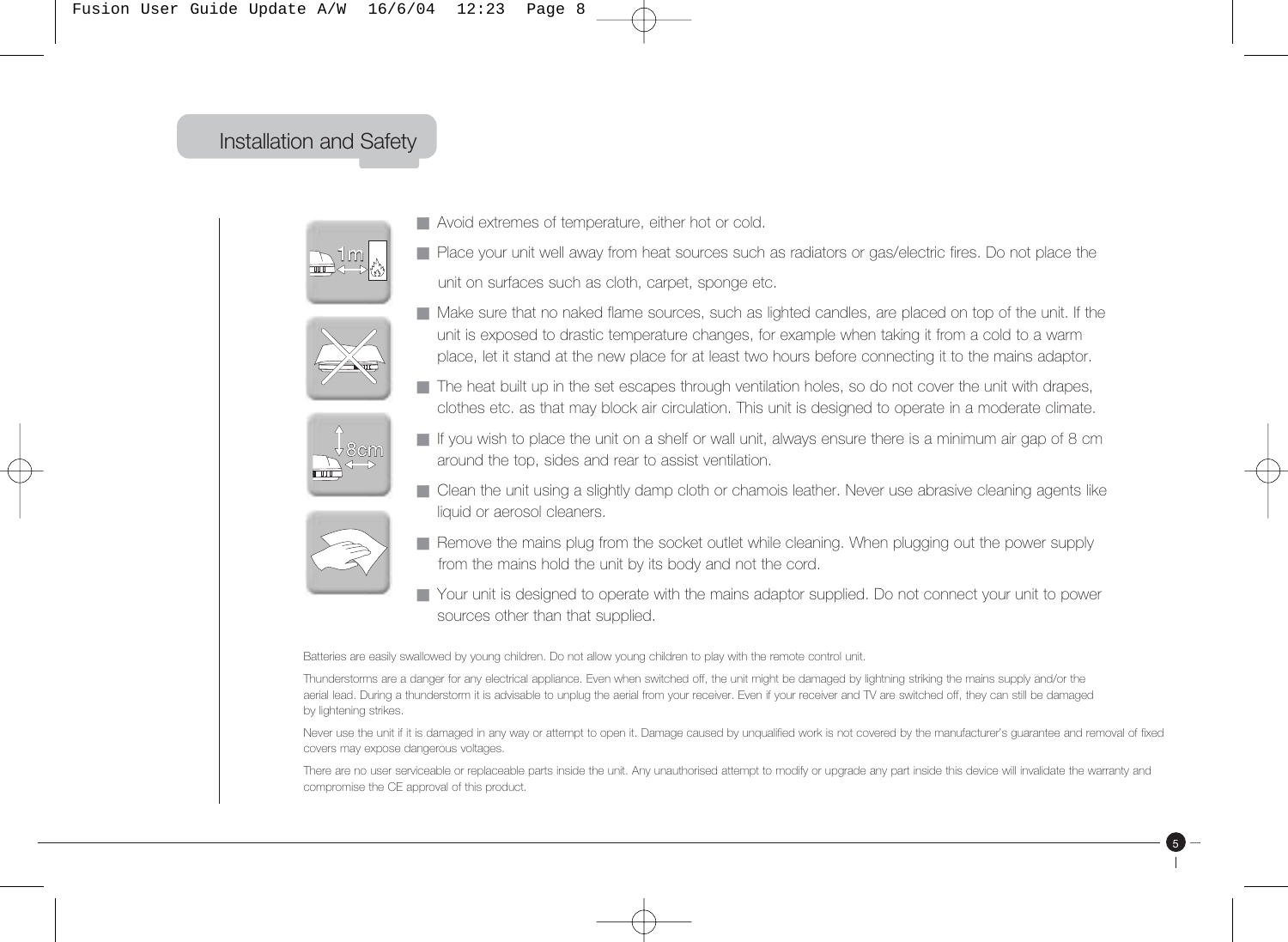# 1m Installation and Safety



1m

- Avoid extremes of temperature, either hot or cold.
- Place your unit well away from heat sources such as radiators or gas/electric fires. Do not place the unit on surfaces such as cloth, carpet, sponge etc.



8cm

- Make sure that no naked flame sources, such as lighted candles, are placed on top of the unit. If the unit is exposed to drastic temperature changes, for example when taking it from a cold to a warm place, let it stand at the new place for at least two hours before connecting it to the mains adaptor.
- The heat built up in the set escapes through ventilation holes, so do not cover the unit with drapes, clothes etc. as that may block air circulation. This unit is designed to operate in a moderate climate.



- If you wish to place the unit on a shelf or wall unit, always ensure there is a minimum air gap of 8 cm around the top, sides and rear to assist ventilation.
- Clean the unit using a slightly damp cloth or chamois leather. Never use abrasive cleaning agents like liquid or aerosol cleaners.



- Remove the mains plug from the socket outlet while cleaning. When plugging out the power supply from the mains hold the unit by its body and not the cord.
- Your unit is designed to operate with the mains adaptor supplied. Do not connect your unit to power sources other than that supplied.

Batteries are easily swallowed by young children. Do not allow young children to play with the remote control unit.

Thunderstorms are a danger for any electrical appliance. Even when switched off, the unit might be damaged by lightning striking the mains supply and/or the aerial lead. During a thunderstorm it is advisable to unplug the aerial from your receiver. Even if your receiver and TV are switched off, they can still be damaged by lightening strikes.

Never use the unit if it is damaged in any way or attempt to open it. Damage caused by unqualified work is not covered by the manufacturer's guarantee and removal of fixed covers may expose dangerous voltages.

There are no user serviceable or replaceable parts inside the unit. Any unauthorised attempt to modify or upgrade any part inside this device will invalidate the warranty and compromise the CE approval of this product.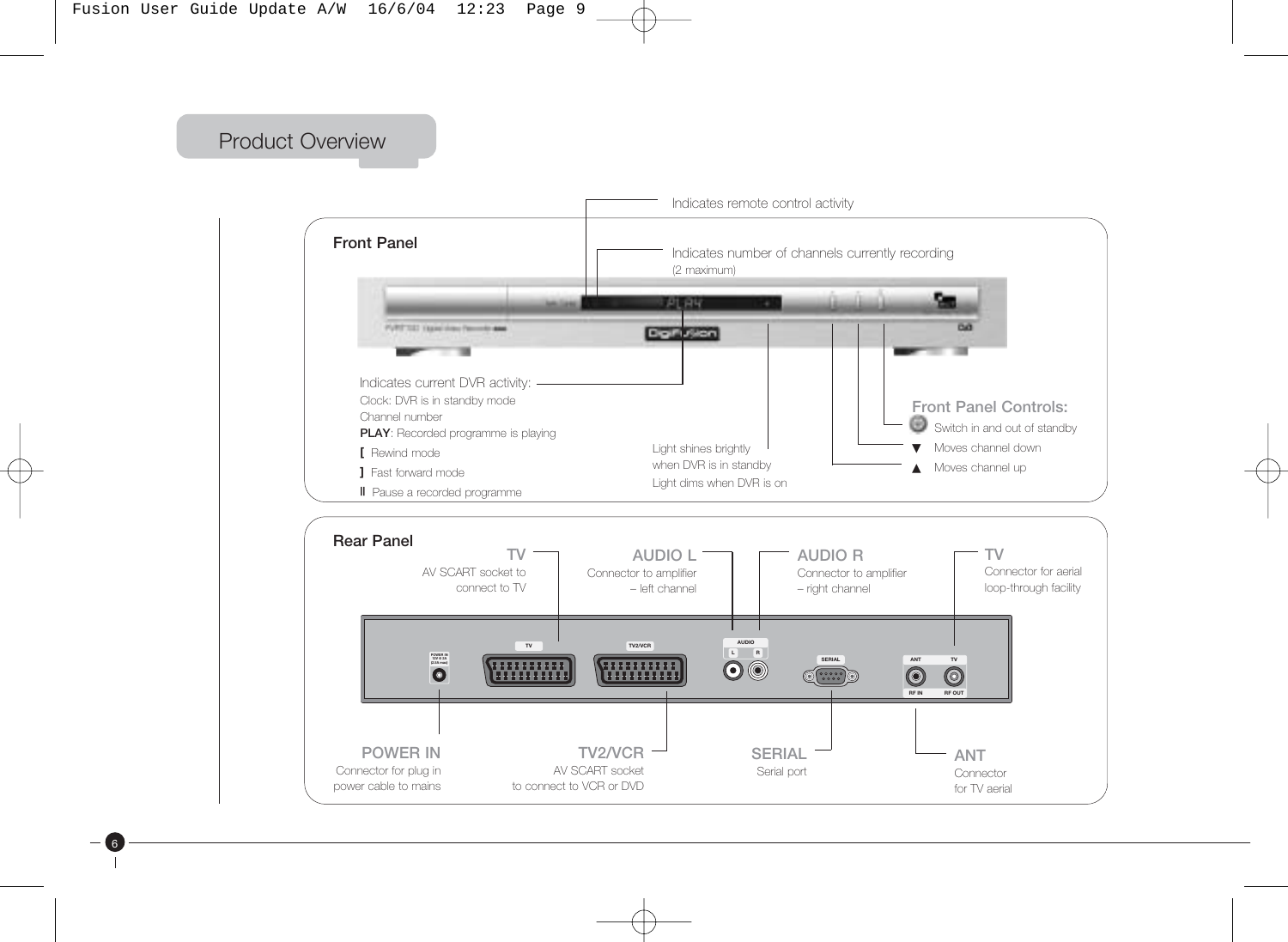Product Overview

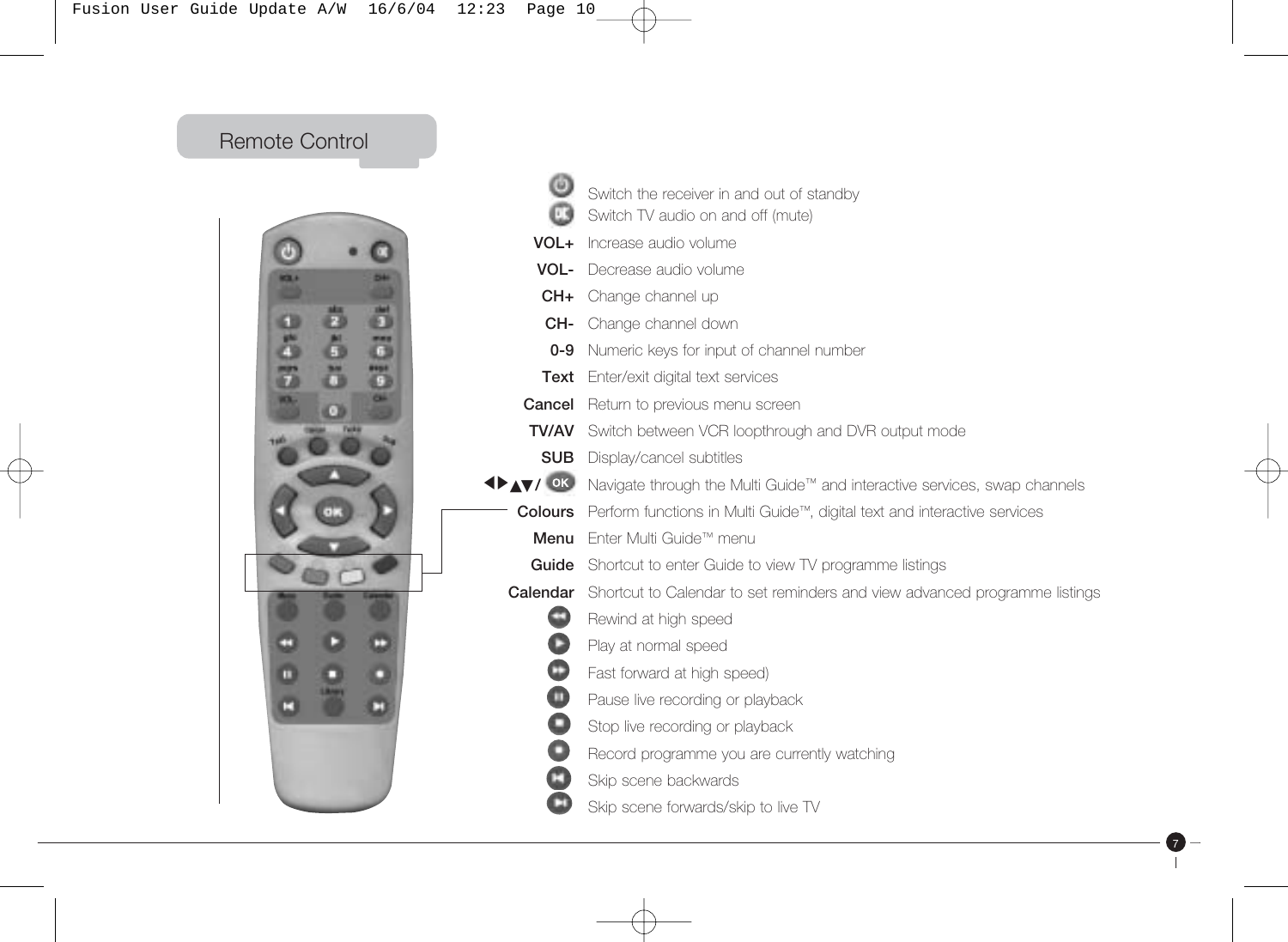Fusion User Guide Update A/W 16/6/04 12:23 Page 10

Remote Control



|                | Switch the receiver in and out of standby                                  |  |  |  |
|----------------|----------------------------------------------------------------------------|--|--|--|
|                | Switch TV audio on and off (mute)                                          |  |  |  |
| VOL+           | Increase audio volume                                                      |  |  |  |
| VOL-           | Decrease audio volume                                                      |  |  |  |
| CH+            | Change channel up                                                          |  |  |  |
| CH-            | Change channel down                                                        |  |  |  |
| $0 - 9$        | Numeric keys for input of channel number                                   |  |  |  |
| Text           | Enter/exit digital text services                                           |  |  |  |
| Cancel         | Return to previous menu screen                                             |  |  |  |
| TV/AV          | Switch between VCR loopthrough and DVR output mode                         |  |  |  |
| <b>SUB</b>     | Display/cancel subtitles                                                   |  |  |  |
| <b>IDAV/OK</b> | Navigate through the Multi Guide™ and interactive services, swap channels  |  |  |  |
| <b>Colours</b> | Perform functions in Multi Guide™, digital text and interactive services   |  |  |  |
| Menu           | Fnter Multi Guide™ menu                                                    |  |  |  |
| Guide          | Shortcut to enter Guide to view TV programme listings                      |  |  |  |
| Calendar       | Shortcut to Calendar to set reminders and view advanced programme listings |  |  |  |
|                | Rewind at high speed                                                       |  |  |  |
| О              | Play at normal speed                                                       |  |  |  |
| $\bf \Phi$     | Fast forward at high speed)                                                |  |  |  |
| $\bullet$      | Pause live recording or playback                                           |  |  |  |
| $\bullet$      | Stop live recording or playback                                            |  |  |  |
| $\bullet$      | Record programme you are currently watching                                |  |  |  |
|                | Skip scene backwards                                                       |  |  |  |
|                | Skip scene forwards/skip to live TV                                        |  |  |  |

7

 $\mathbf{L}$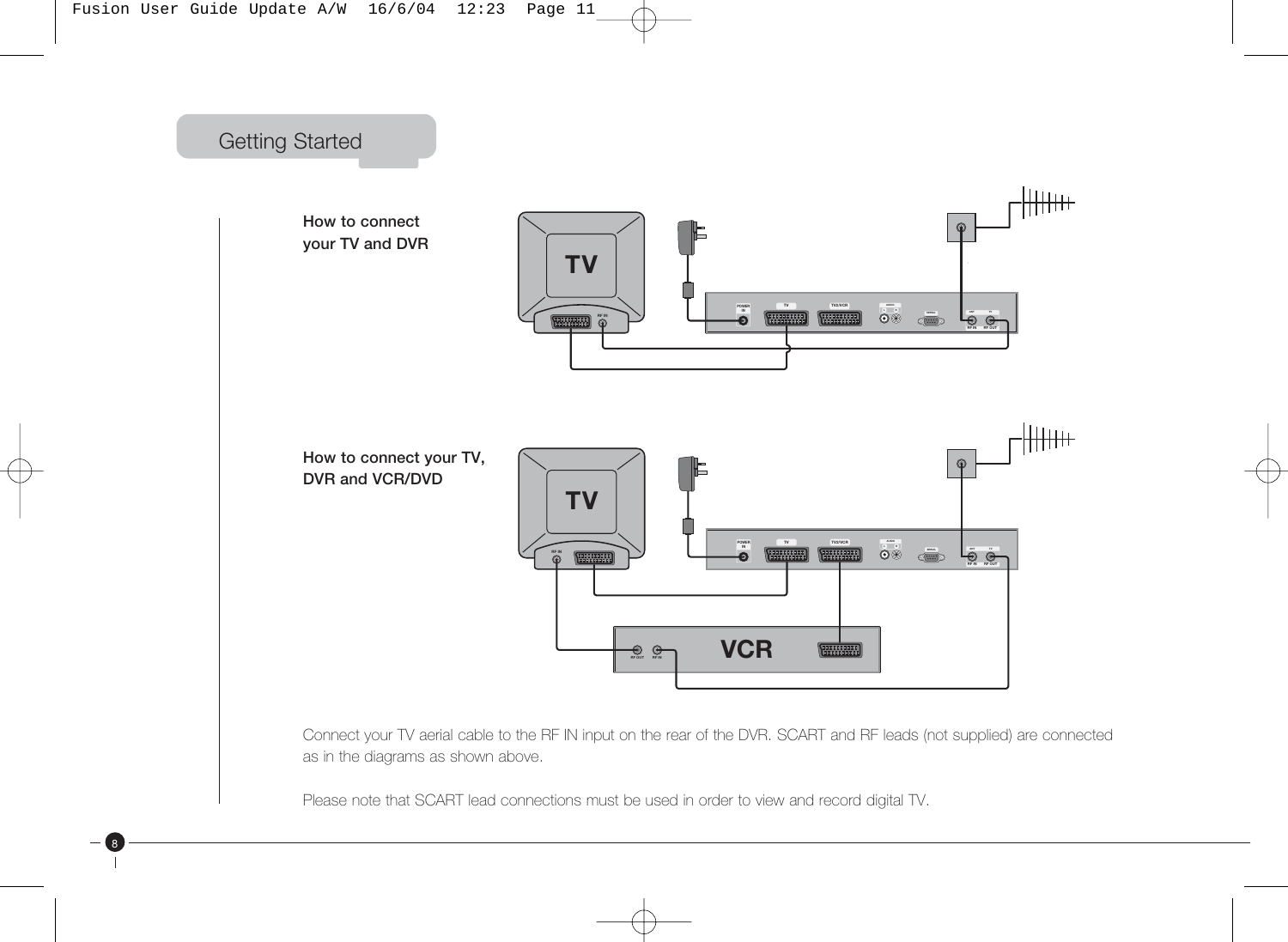

8



Connect your TV aerial cable to the RF IN input on the rear of the DVR. SCART and RF leads (not supplied) are connected as in the diagrams as shown above.

Please note that SCART lead connections must be used in order to view and record digital TV.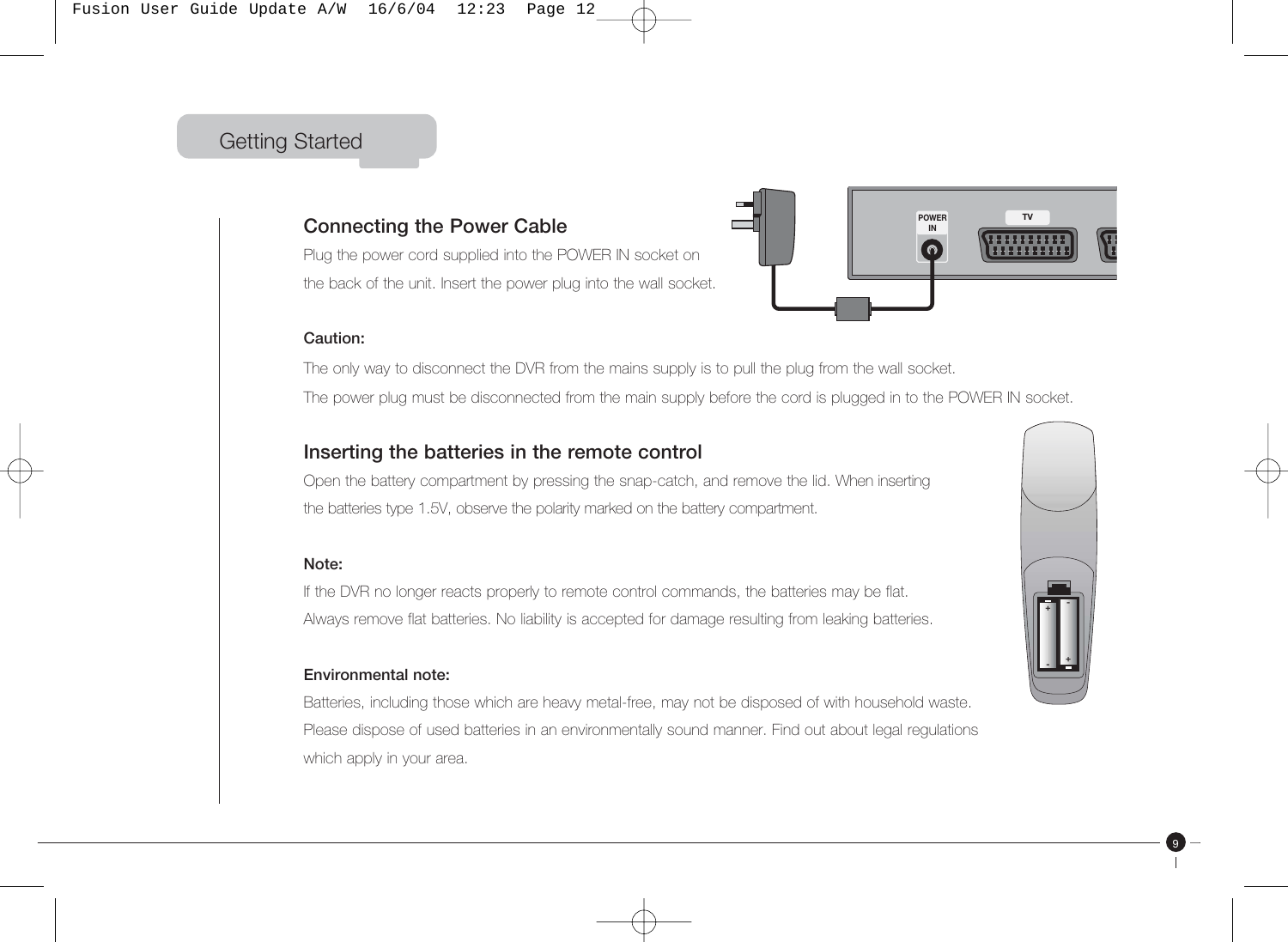### Getting Started

#### **Connecting the Power Cable**

Plug the power cord supplied into the POWER IN socket on the back of the unit. Insert the power plug into the wall socket.



#### **Caution:**

The only way to disconnect the DVR from the mains supply is to pull the plug from the wall socket. The power plug must be disconnected from the main supply before the cord is plugged in to the POWER IN socket.

#### **Inserting the batteries in the remote control**

Open the battery compartment by pressing the snap-catch, and remove the lid. When inserting the batteries type 1.5V, observe the polarity marked on the battery compartment.

#### **Note:**

If the DVR no longer reacts properly to remote control commands, the batteries may be flat. Always remove flat batteries. No liability is accepted for damage resulting from leaking batteries.

#### **Environmental note:**

Batteries, including those which are heavy metal-free, may not be disposed of with household waste. Please dispose of used batteries in an environmentally sound manner. Find out about legal regulations which apply in your area.

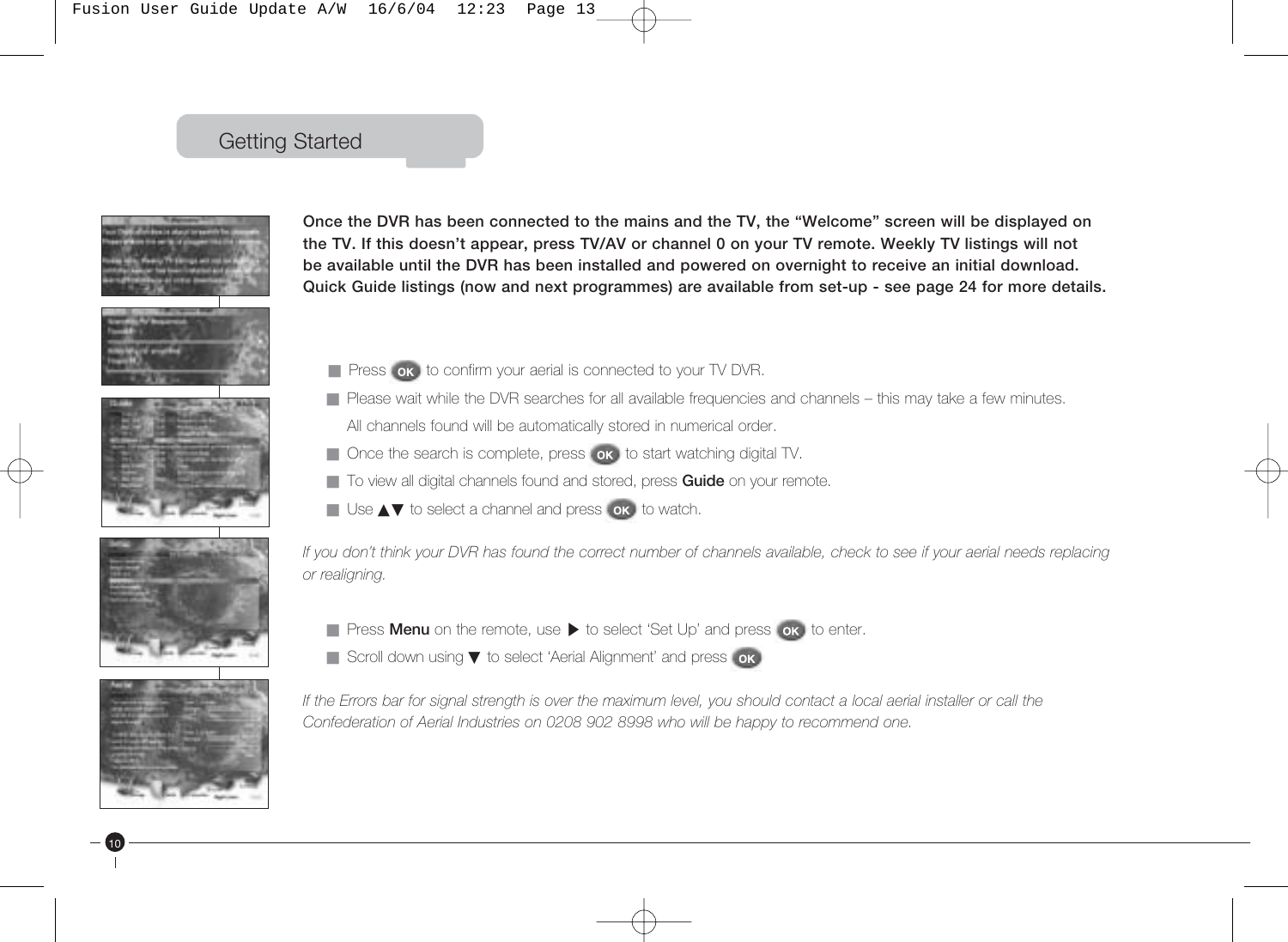### Getting Started











10

**Once the DVR has been connected to the mains and the TV, the "Welcome" screen will be displayed on the TV. If this doesn't appear, press TV/AV or channel 0 on your TV remote. Weekly TV listings will not be available until the DVR has been installed and powered on overnight to receive an initial download. Quick Guide listings (now and next programmes) are available from set-up - see page 24 for more details.**

- Press ok to confirm your aerial is connected to your TV DVR.
- Please wait while the DVR searches for all available frequencies and channels this may take a few minutes. All channels found will be automatically stored in numerical order.
- Once the search is complete, press on to start watching digital TV.
- To view all digital channels found and stored, press **Guide** on your remote.
- Use **AV** to select a channel and press on to watch.

*If you don't think your DVR has found the correct number of channels available, check to see if your aerial needs replacing or realigning.*

- Press **Menu** on the remote, use ▶ to select 'Set Up' and press **ok** to enter.
- Scroll down using ▼ to select 'Aerial Alignment' and press ok

*If the Errors bar for signal strength is over the maximum level, you should contact a local aerial installer or call the Confederation of Aerial Industries on 0208 902 8998 who will be happy to recommend one.*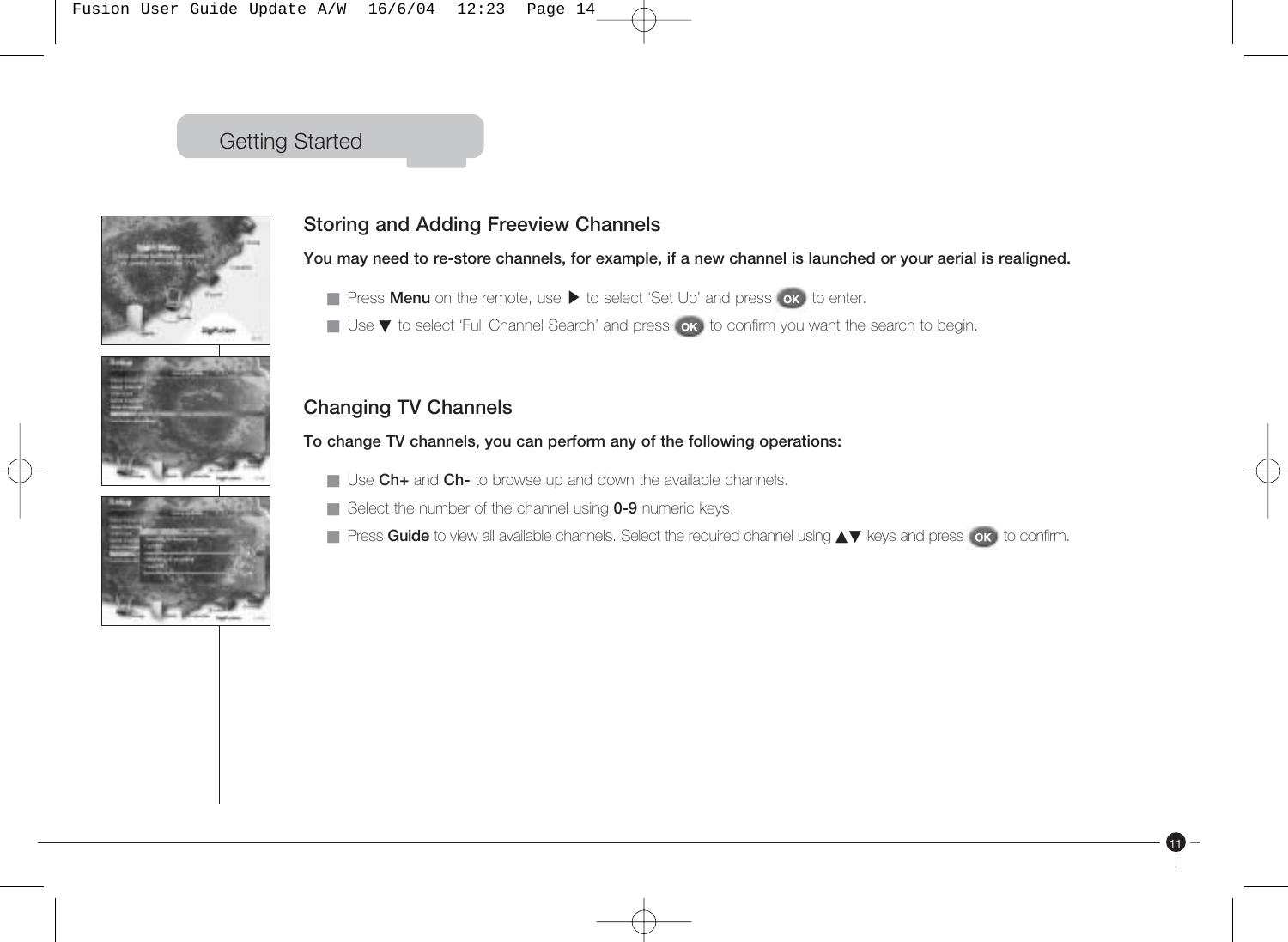### Getting Started







### **Storing and Adding Freeview Channels**

**You may need to re-store channels, for example, if a new channel is launched or your aerial is realigned.**

- Press **Menu** on the remote, use ▶ to select 'Set Up' and press **ok** to enter.
- Use ▼ to select 'Full Channel Search' and press ok to confirm you want the search to begin.

### **Changing TV Channels**

**To change TV channels, you can perform any of the following operations:**

- Use **Ch+** and **Ch-** to browse up and down the available channels.
- Select the number of the channel using **0-9** numeric keys.
- Press Guide to view all available channels. Select the required channel using **AV** keys and press ok to confirm.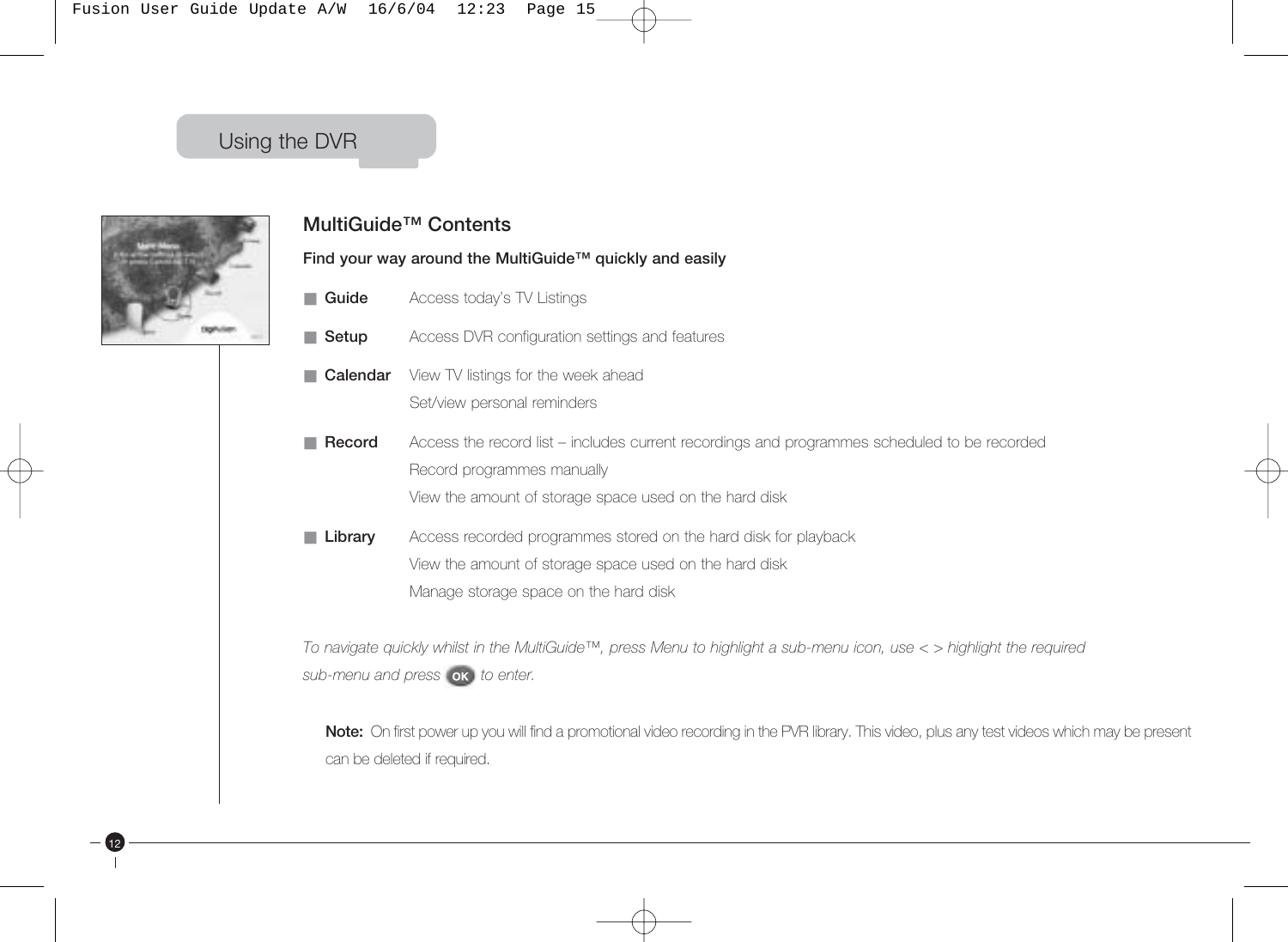

12

#### **MultiGuide™ Contents**

**Find your way around the MultiGuide™ quickly and easily**

- **Guide** Access today's TV Listings
- **Setup** Access DVR configuration settings and features
- **Calendar** View TV listings for the week ahead Set/view personal reminders
- **Record** Access the record list includes current recordings and programmes scheduled to be recorded Record programmes manually View the amount of storage space used on the hard disk
- **Library** Access recorded programmes stored on the hard disk for playback View the amount of storage space used on the hard disk Manage storage space on the hard disk

*To navigate quickly whilst in the MultiGuide™, press Menu to highlight a sub-menu icon, use < > highlight the required*  sub-menu and press **ok** to enter.

**Note:** On first power up you will find a promotional video recording in the PVR library. This video, plus any test videos which may be present can be deleted if required.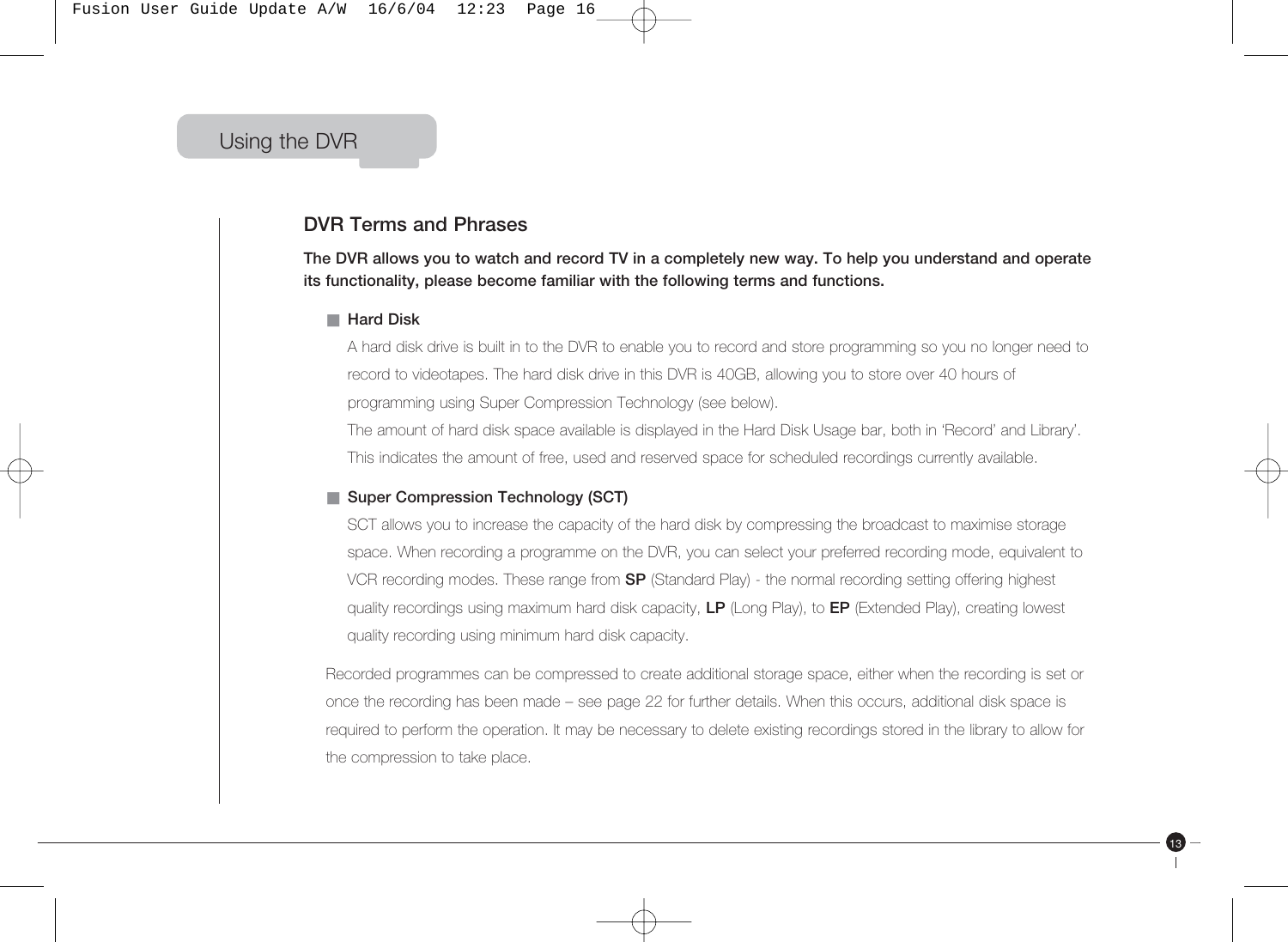Fusion User Guide Update A/W 16/6/04 12:23 Page 16

### Using the DVR

#### **DVR Terms and Phrases**

**The DVR allows you to watch and record TV in a completely new way. To help you understand and operate its functionality, please become familiar with the following terms and functions.** 

#### ■ **Hard Disk**

A hard disk drive is built in to the DVR to enable you to record and store programming so you no longer need to record to videotapes. The hard disk drive in this DVR is 40GB, allowing you to store over 40 hours of programming using Super Compression Technology (see below).

The amount of hard disk space available is displayed in the Hard Disk Usage bar, both in 'Record' and Library'. This indicates the amount of free, used and reserved space for scheduled recordings currently available.

#### ■ **Super Compression Technology (SCT)**

SCT allows you to increase the capacity of the hard disk by compressing the broadcast to maximise storage space. When recording a programme on the DVR, you can select your preferred recording mode, equivalent to VCR recording modes. These range from **SP** (Standard Play) - the normal recording setting offering highest quality recordings using maximum hard disk capacity, **LP** (Long Play), to **EP** (Extended Play), creating lowest quality recording using minimum hard disk capacity.

Recorded programmes can be compressed to create additional storage space, either when the recording is set or once the recording has been made – see page 22 for further details. When this occurs, additional disk space is required to perform the operation. It may be necessary to delete existing recordings stored in the library to allow for the compression to take place.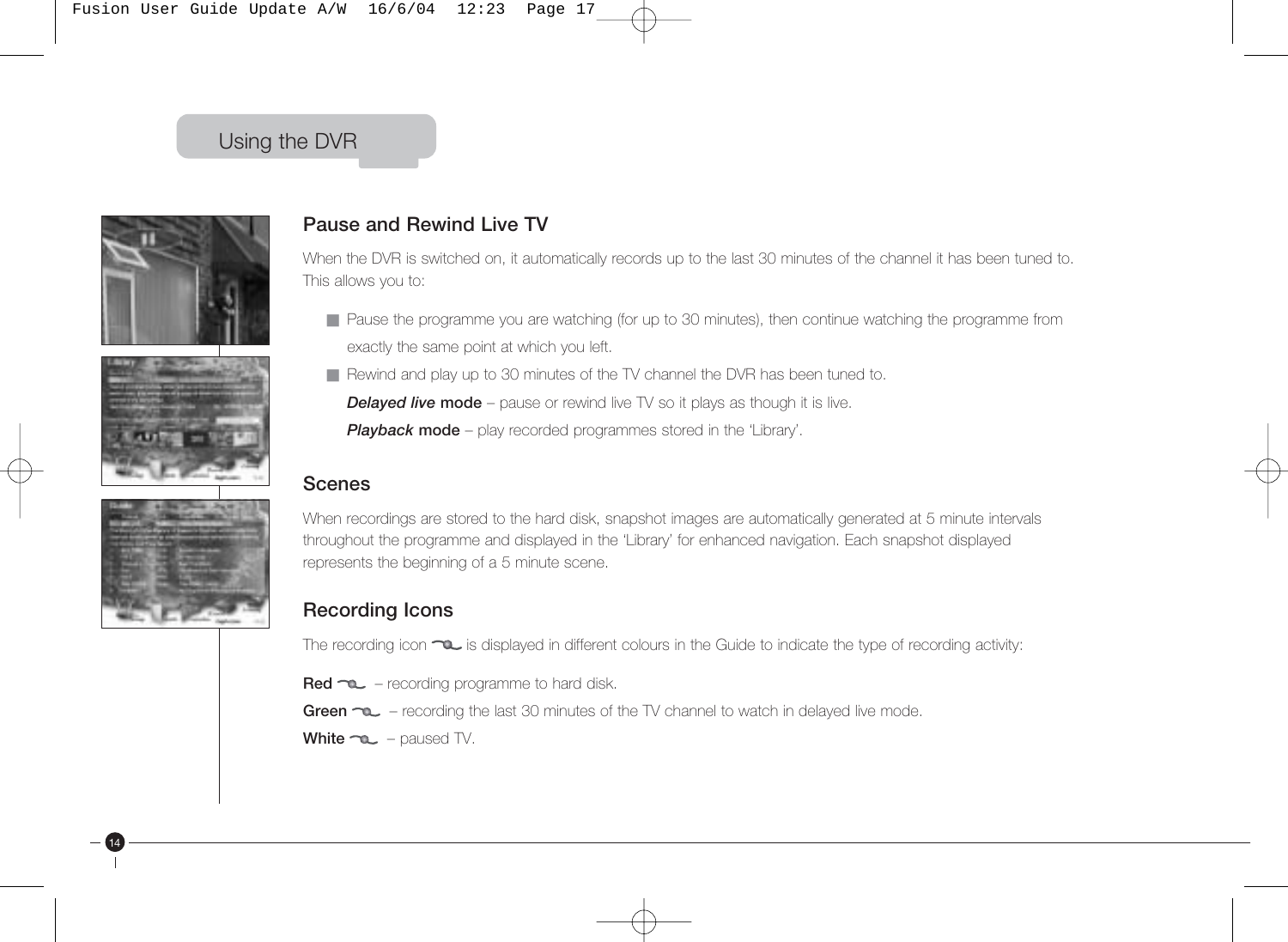Fusion User Guide Update A/W 16/6/04 12:23 Page 17

### Using the DVR







14

#### **Pause and Rewind Live TV**

When the DVR is switched on, it automatically records up to the last 30 minutes of the channel it has been tuned to. This allows you to:

- Pause the programme you are watching (for up to 30 minutes), then continue watching the programme from exactly the same point at which you left.
- Rewind and play up to 30 minutes of the TV channel the DVR has been tuned to.

**Delayed live mode** – pause or rewind live TV so it plays as though it is live.

**Playback mode** – play recorded programmes stored in the 'Library'.

#### **Scenes**

When recordings are stored to the hard disk, snapshot images are automatically generated at 5 minute intervals throughout the programme and displayed in the 'Library' for enhanced navigation. Each snapshot displayed represents the beginning of a 5 minute scene.

#### **Recording Icons**

The recording icon  $\infty$  is displayed in different colours in the Guide to indicate the type of recording activity:

- **Red**  $\infty$  recording programme to hard disk.
- Green  $\infty$  recording the last 30 minutes of the TV channel to watch in delayed live mode.
- White  $\neg$ **c** paused TV.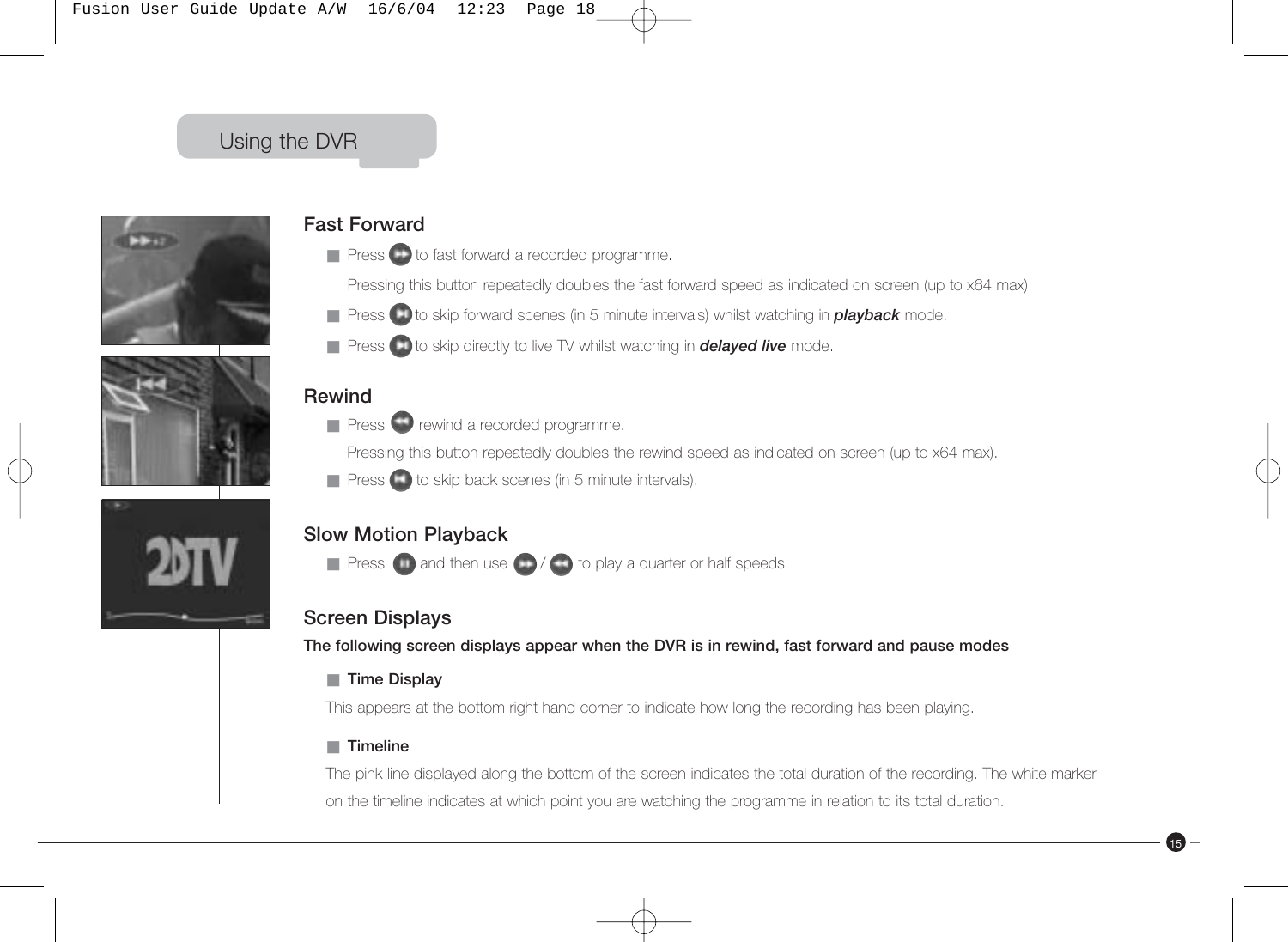

#### **Fast Forward**

- Press to fast forward a recorded programme.
- Pressing this button repeatedly doubles the fast forward speed as indicated on screen (up to x64 max).
- Press **t**o skip forward scenes (in 5 minute intervals) whilst watching in **playback** mode.
- Press **to** be skip directly to live TV whilst watching in *delayed live* mode.

### **Rewind**

- Press rewind a recorded programme.
	- Pressing this button repeatedly doubles the rewind speed as indicated on screen (up to x64 max).
- Press to skip back scenes (in 5 minute intervals).

### **Slow Motion Playback**

 $\blacksquare$  Press  $\blacksquare$  and then use  $\blacksquare$  /  $\blacksquare$  to play a quarter or half speeds.

### **Screen Displays**

**The following screen displays appear when the DVR is in rewind, fast forward and pause modes**

■ **Time Display**

This appears at the bottom right hand corner to indicate how long the recording has been playing.

#### ■ **Timeline**

The pink line displayed along the bottom of the screen indicates the total duration of the recording. The white marker on the timeline indicates at which point you are watching the programme in relation to its total duration.

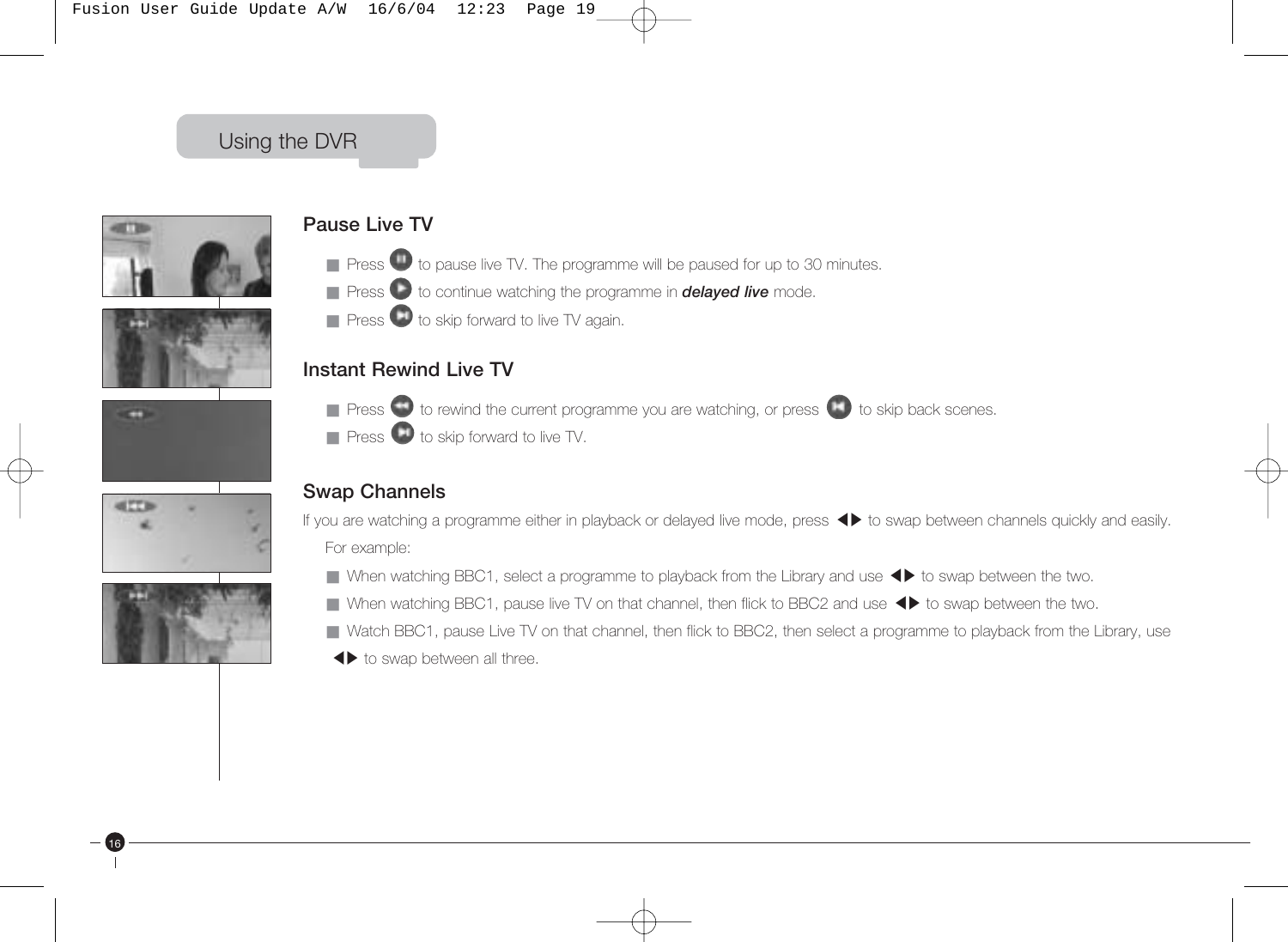









16

### **Pause Live TV**

- $\blacksquare$  Press  $\blacksquare$  to pause live TV. The programme will be paused for up to 30 minutes.
- Press to continue watching the programme in **delayed live** mode.
- Press to skip forward to live TV again.

### **Instant Rewind Live TV**

- Press to rewind the current programme you are watching, or press to skip back scenes.
- Press to skip forward to live TV.

### **Swap Channels**

If you are watching a programme either in playback or delayed live mode, press-to swap between channels quickly and easily. For example:

- ror example.<br>■ When watching BBC1, select a programme to playback from the Library and use ◀▶ to swap between the two.
- When watching BBC1, select a programme to playback normale Ebrary and use <→ to swap between the two.<br>■ When watching BBC1, pause live TV on that channel, then flick to BBC2 and use ◆ b to swap between the two.
- Watch BBC1, pause Live TV on that channel, then flick to BBC2, then select a programme to playback from the Library, use
- value boot, padde live tv<br>• **+** to swap between all three.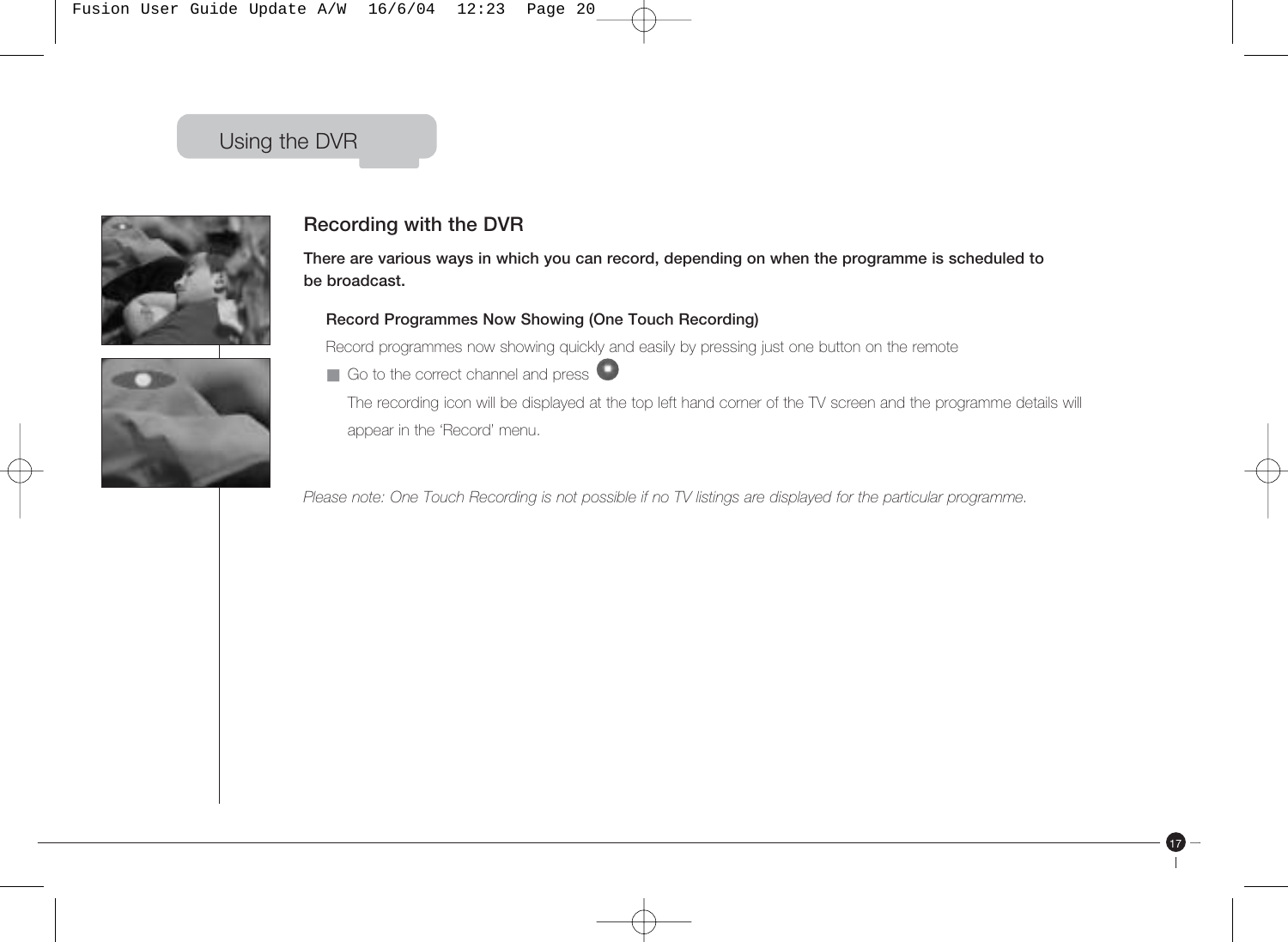Fusion User Guide Update A/W 16/6/04 12:23 Page 20

### Using the DVR





### **Recording with the DVR**

**There are various ways in which you can record, depending on when the programme is scheduled to be broadcast.**

#### **Record Programmes Now Showing (One Touch Recording)**

Record programmes now showing quickly and easily by pressing just one button on the remote

 $\blacksquare$  Go to the correct channel and press  $\blacksquare$ The recording icon will be displayed at the top left hand corner of the TV screen and the programme details will appear in the 'Record' menu.

17

*Please note: One Touch Recording is not possible if no TV listings are displayed for the particular programme.*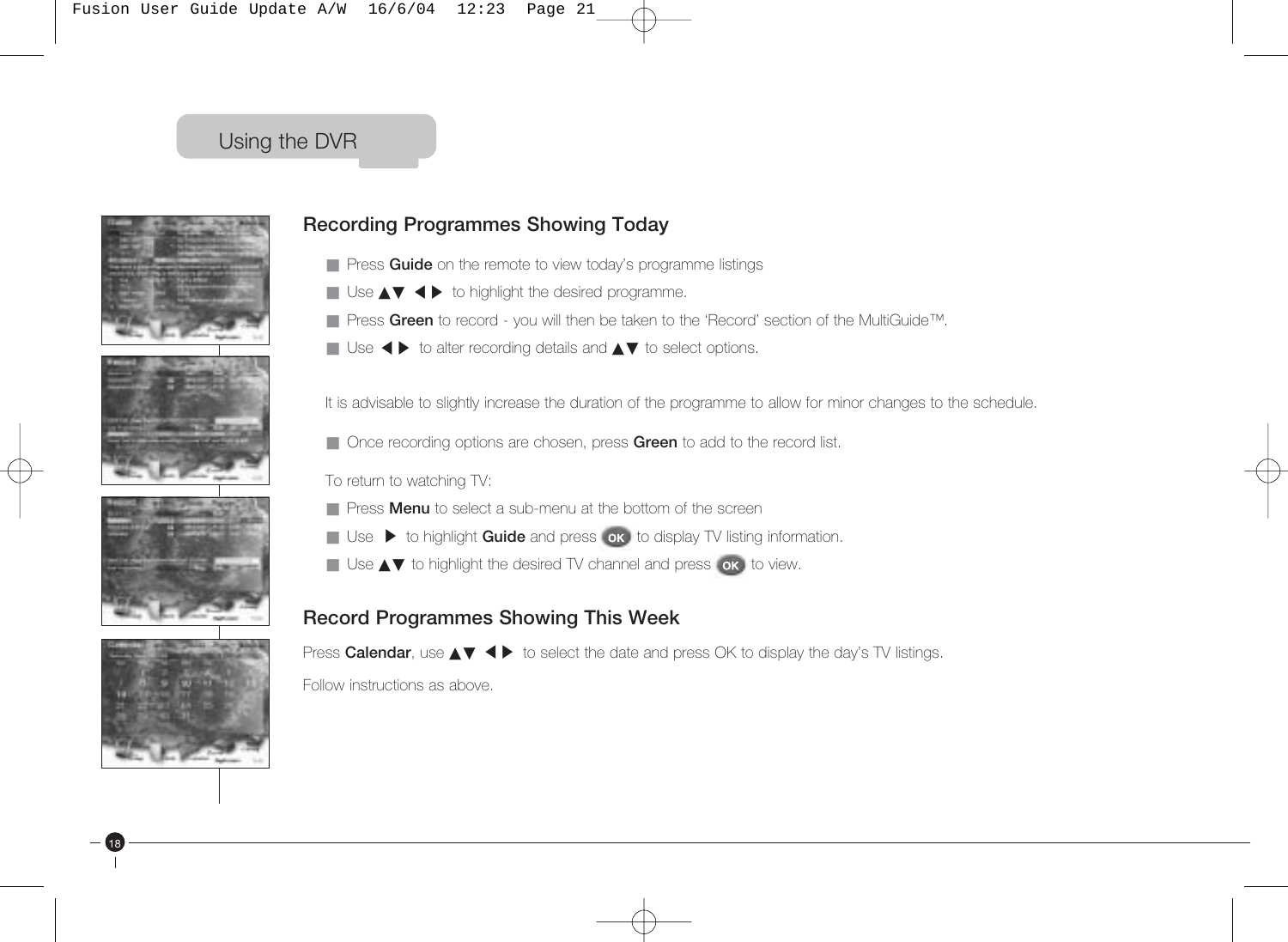







18

### **Recording Programmes Showing Today**

- Press **Guide** on the remote to view today's programme listings
- Treas datable firms remote to view today's program<br>■ Use ▲▼ ◀ ▶ to highlight the desired programme.
- Press Green to record you will then be taken to the 'Record' section of the MultiGuide™.
- Ticss direct to record "you will then be taken to the Ticcold"<br>■ Use ◀ ▶ to alter recording details and ▲▼ to select options.

It is advisable to slightly increase the duration of the programme to allow for minor changes to the schedule.

■ Once recording options are chosen, press Green to add to the record list.

To return to watching TV:

- Press **Menu** to select a sub-menu at the bottom of the screen
- Ticss **wend** to science a submit in a the benoming the series.<br>■ Use ▶ to highlight **Guide** and press **or** to display TV listing information.
- Use ▲▼ to highlight the desired TV channel and press ok to view.

#### **Record Programmes Showing This Week**

Press **Calendar**, use ▲▼ ◆ **b** to select the date and press OK to display the day's TV listings.

Follow instructions as above.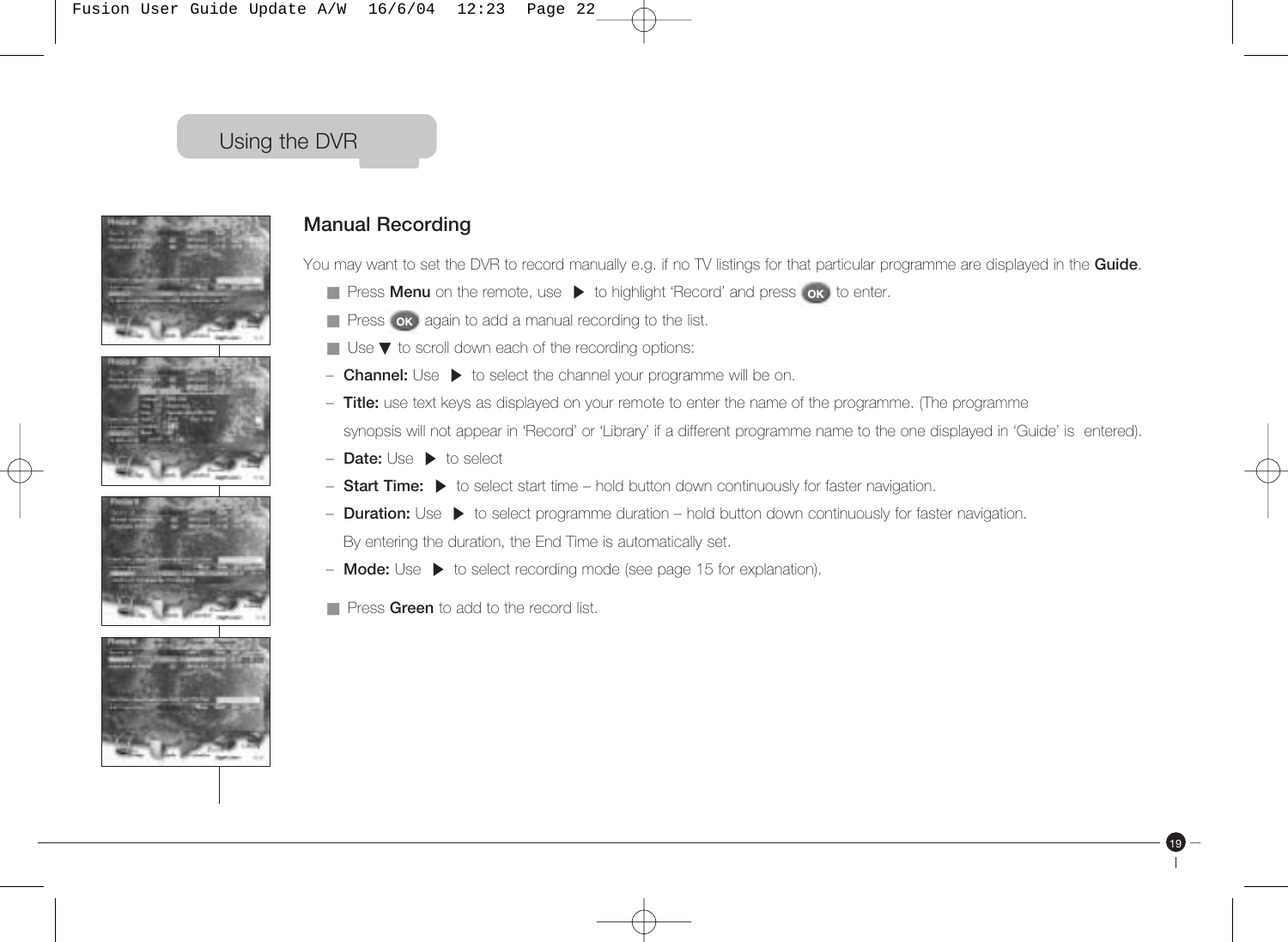





### **Manual Recording**

You may want to set the DVR to record manually e.g. if no TV listings for that particular programme are displayed in the **Guide**.

- **Press Menu** on the remote, use ▶ to highlight 'Record' and press ok to enter.
- **E** Press or again to add a manual recording to the list.
- Use ▼ to scroll down each of the recording options:
- Use to selen down cach or the recording options.<br>- **Channel:** Use ▶ to select the channel your programme will be on.
- **Title:** use text keys as displayed on your remote to enter the name of the programme. (The programme – synopsis will not appear in 'Record' or 'Library' if a different programme name to the one displayed in 'Guide' is entered).

- **Date:** Use-to select
- **Bate:** Use ► to select<br>- Start Time: ▶ to select start time hold button down continuously for faster navigation.
- **Duart Time:** ► to select start time Thold button down continuously for faster inavigation.<br>- **Duration:** Use ► to select programme duration hold button down continuously for faster navigation. – By entering the duration, the End Time is automatically set.
- **Mode:** Use-to select recording mode (see page 15 for explanation).
- Press **Green** to add to the record list.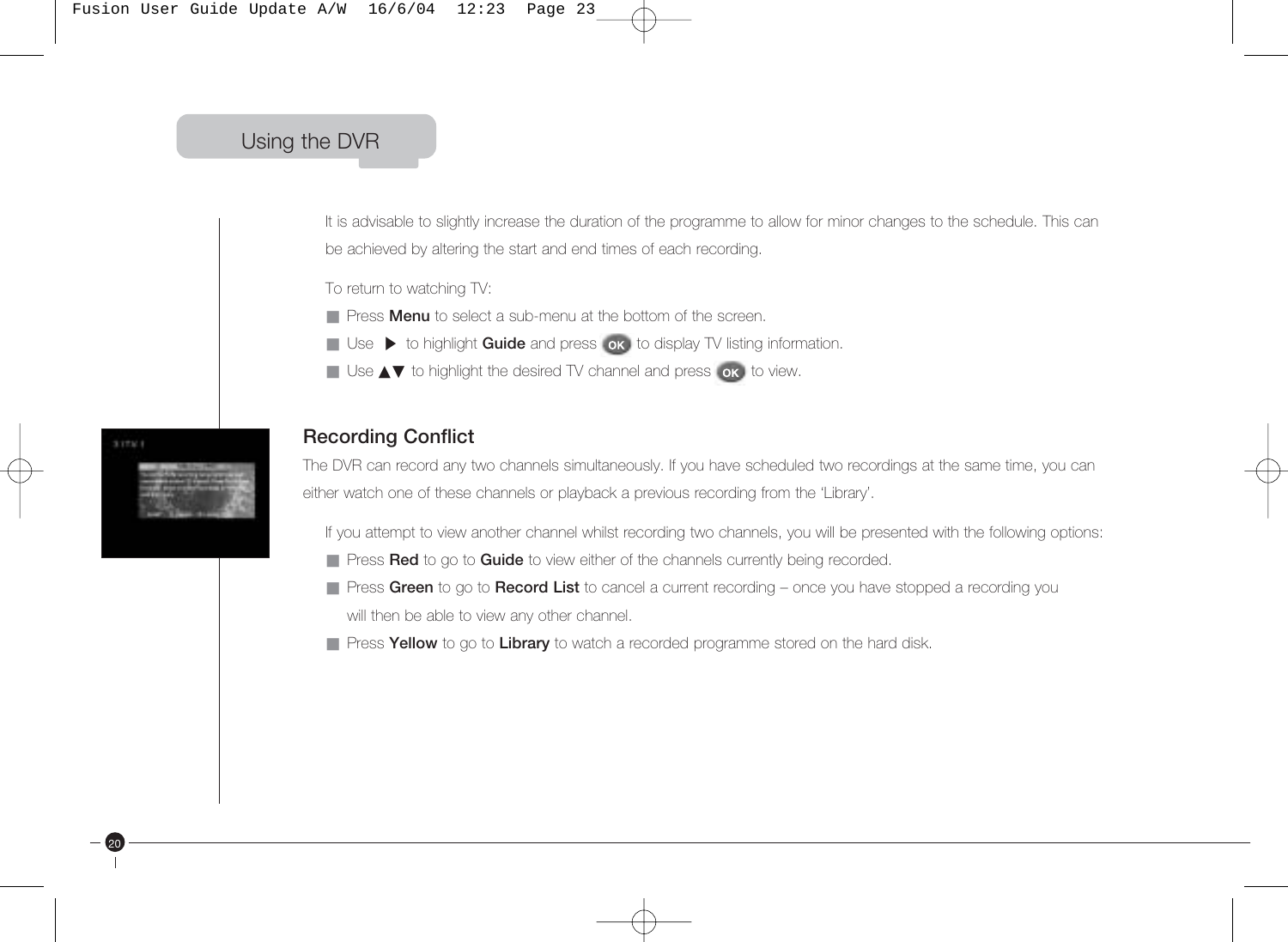It is advisable to slightly increase the duration of the programme to allow for minor changes to the schedule. This can be achieved by altering the start and end times of each recording.

To return to watching TV:

- Press **Menu** to select a sub-menu at the bottom of the screen.
- Ticss **menu** to select a sub-menu at the selection of the selection.<br>■ Use ▶ to highlight **Guide** and press ok to display TV listing information.
- Use ▲▼ to highlight the desired TV channel and press ok, to view.



20

#### **Recording Conflict**

The DVR can record any two channels simultaneously. If you have scheduled two recordings at the same time, you can either watch one of these channels or playback a previous recording from the 'Library'.

If you attempt to view another channel whilst recording two channels, you will be presented with the following options:

- Press **Red** to go to **Guide** to view either of the channels currently being recorded.
- Press Green to go to Record List to cancel a current recording once you have stopped a recording you will then be able to view any other channel.
- Press **Yellow** to go to **Library** to watch a recorded programme stored on the hard disk.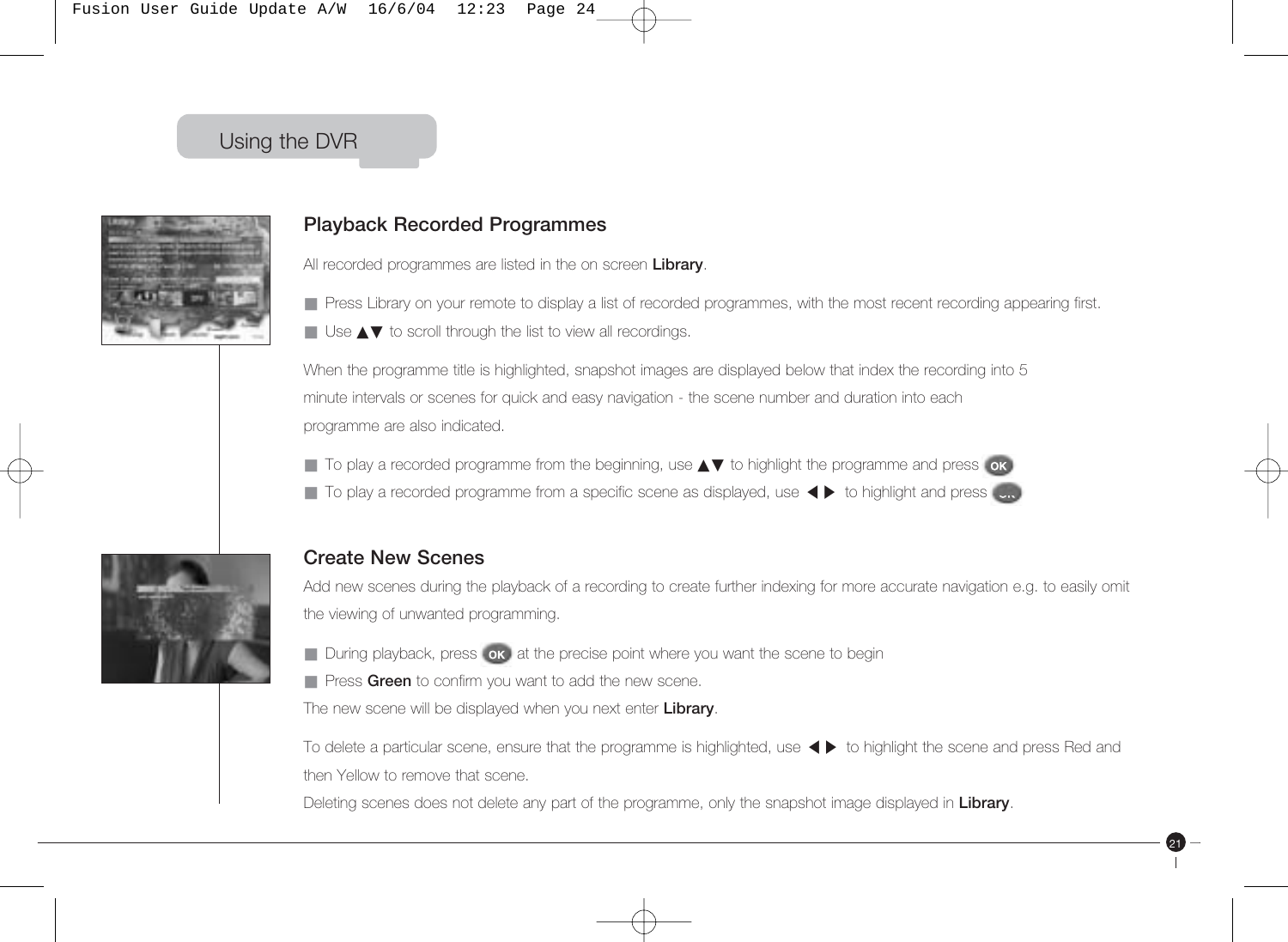

#### **Playback Recorded Programmes**

All recorded programmes are listed in the on screen **Library**.

■ Press Library on your remote to display a list of recorded programmes, with the most recent recording appearing first.

■ Use **▲▼** to scroll through the list to view all recordings.

When the programme title is highlighted, snapshot images are displayed below that index the recording into 5 minute intervals or scenes for quick and easy navigation - the scene number and duration into each programme are also indicated.

- To play a recorded programme from the beginning, use ▲▼ to highlight the programme and press or
- To play a recorded programme from a specific scene as displayed, use < ▶ to highlight and press<br>■ To play a recorded programme from a specific scene as displayed, use < ▶ to highlight and press



#### **Create New Scenes**

Add new scenes during the playback of a recording to create further indexing for more accurate navigation e.g. to easily omit the viewing of unwanted programming.

■ During playback, press ok at the precise point where you want the scene to begin

■ Press Green to confirm you want to add the new scene.

The new scene will be displayed when you next enter **Library**.

To delete a particular scene, ensure that the programme is highlighted, use-to highlight the scene and press Red and then Yellow to remove that scene.

21

Deleting scenes does not delete any part of the programme, only the snapshot image displayed in **Library**.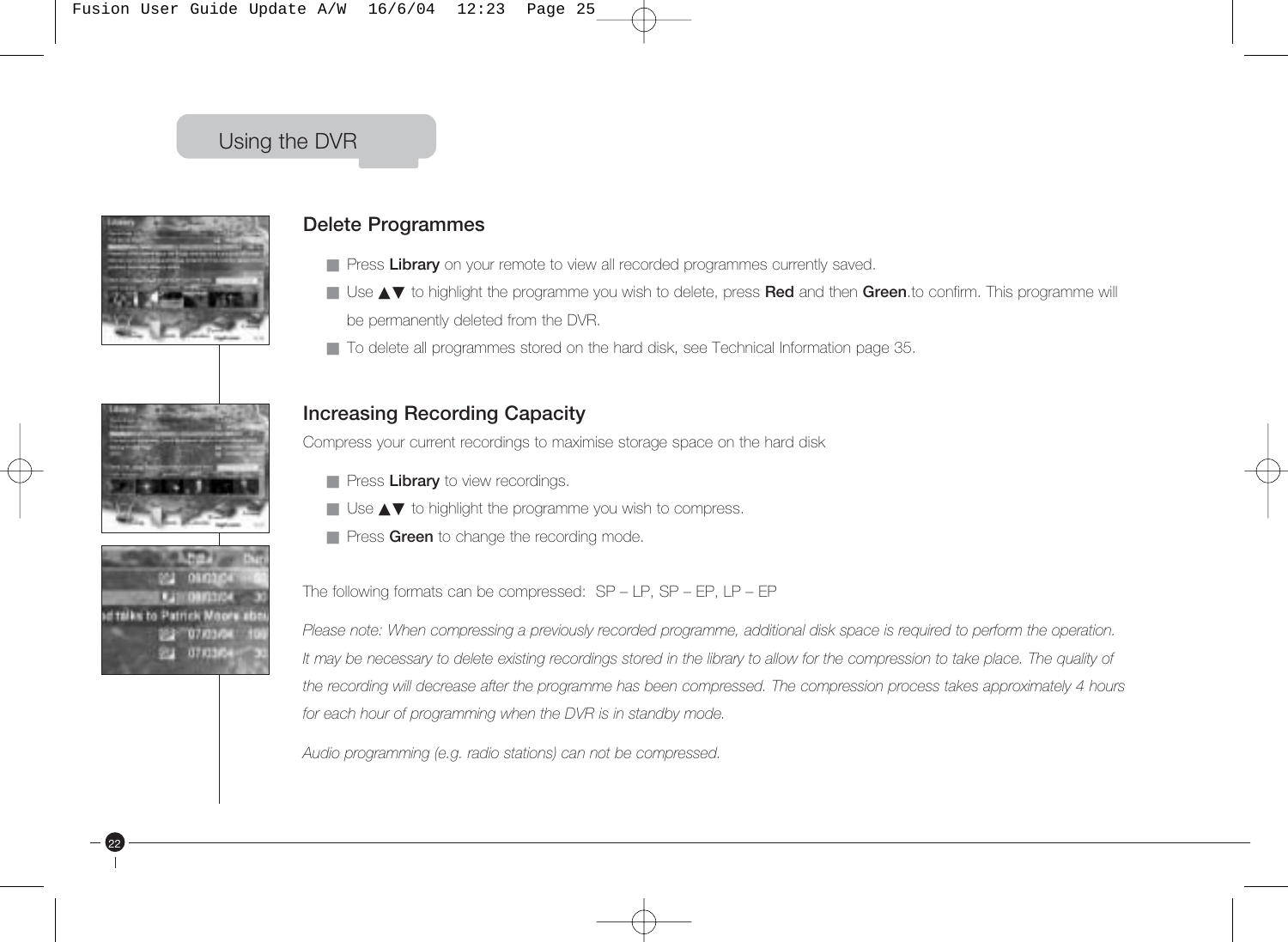

#### **Delete Programmes**

- Press Library on your remote to view all recorded programmes currently saved.
- Use ▲▼ to highlight the programme you wish to delete, press **Red** and then **Green**.to confirm. This programme will be permanently deleted from the DVR.
- To delete all programmes stored on the hard disk, see Technical Information page 35.

### **Increasing Recording Capacity**

Compress your current recordings to maximise storage space on the hard disk

- **Press Library** to view recordings.
- Use **AV** to highlight the programme you wish to compress.
- Press Green to change the recording mode.

The following formats can be compressed: SP – LP, SP – EP, LP – EP

Please note: When compressing a previously recorded programme, additional disk space is required to perform the operation. *It may be necessary to delete existing recordings stored in the library to allow for the compression to take place. The quality of the recording will decrease after the programme has been compressed. The compression process takes approximately 4 hours for each hour of programming when the DVR is in standby mode.*

*Audio programming (e.g. radio stations) can not be compressed.*

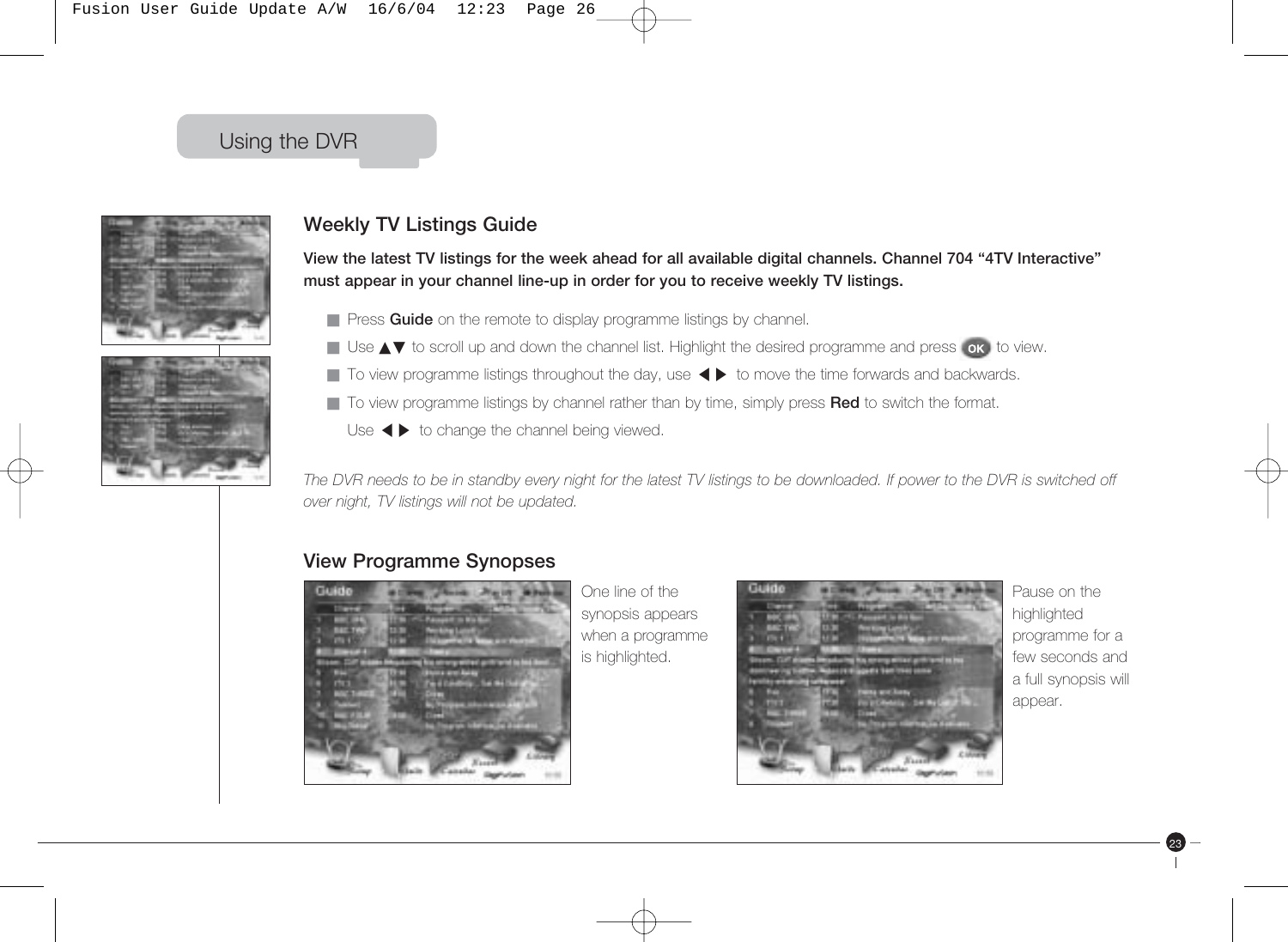Fusion User Guide Update A/W 16/6/04 12:23 Page 26

## Using the DVR



### **Weekly TV Listings Guide**

**View the latest TV listings for the week ahead for all available digital channels. Channel 704 "4TV Interactive" must appear in your channel line-up in order for you to receive weekly TV listings.**

- Press **Guide** on the remote to display programme listings by channel.
- Use ▲▼ to scroll up and down the channel list. Highlight the desired programme and press or to view.
- Use ▲▼ to scron up and down the channel ist. I lighlight the desired programme and press UK to v<br>■ To view programme listings throughout the day, use ◆ ▶ to move the time forwards and backwards.
- To view programme listings by channel rather than by time, simply press **Red** to switch the format.
	- To view programme its<br>
	Use  $\blacktriangleleft$  to change the channel being viewed.

*The DVR needs to be in standby every night for the latest TV listings to be downloaded. If power to the DVR is switched off over night, TV listings will not be updated.*

#### **View Programme Synopses**



One line of the synopsis appears when a programme is highlighted.



Pause on the highlighted programme for a few seconds and a full synopsis will appear.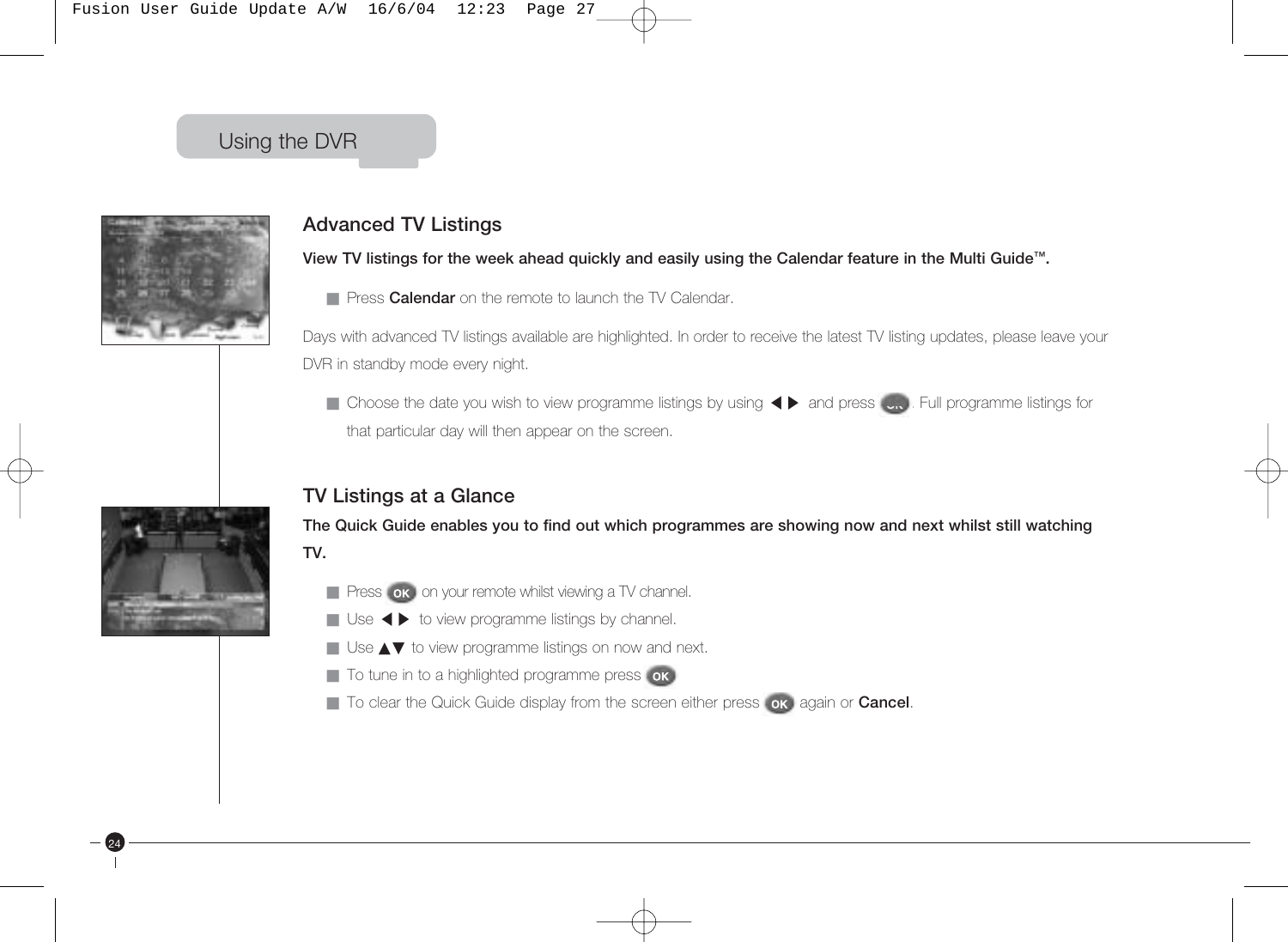

### **Advanced TV Listings**

**View TV listings for the week ahead quickly and easily using the Calendar feature in the Multi Guide™.**

■ Press **Calendar** on the remote to launch the TV Calendar.

Days with advanced TV listings available are highlighted. In order to receive the latest TV listing updates, please leave your DVR in standby mode every night.

■ Choose the date you wish to view programme listings by using <▶ and press ... Full programme listings for that particular day will then appear on the screen.

### **TV Listings at a Glance**

**The Quick Guide enables you to find out which programmes are showing now and next whilst still watching TV.**

- **E** Press **ox** on your remote whilst viewing a TV channel.
- Tress on or your remote whilst viewing a TV channel.<br>■ Use ◀ ▶ to view programme listings by channel.
- Use ▲▼ to view programme listings on now and next.
- To tune in to a highlighted programme press ok
- To clear the Quick Guide display from the screen either press **ox** again or **Cancel**.

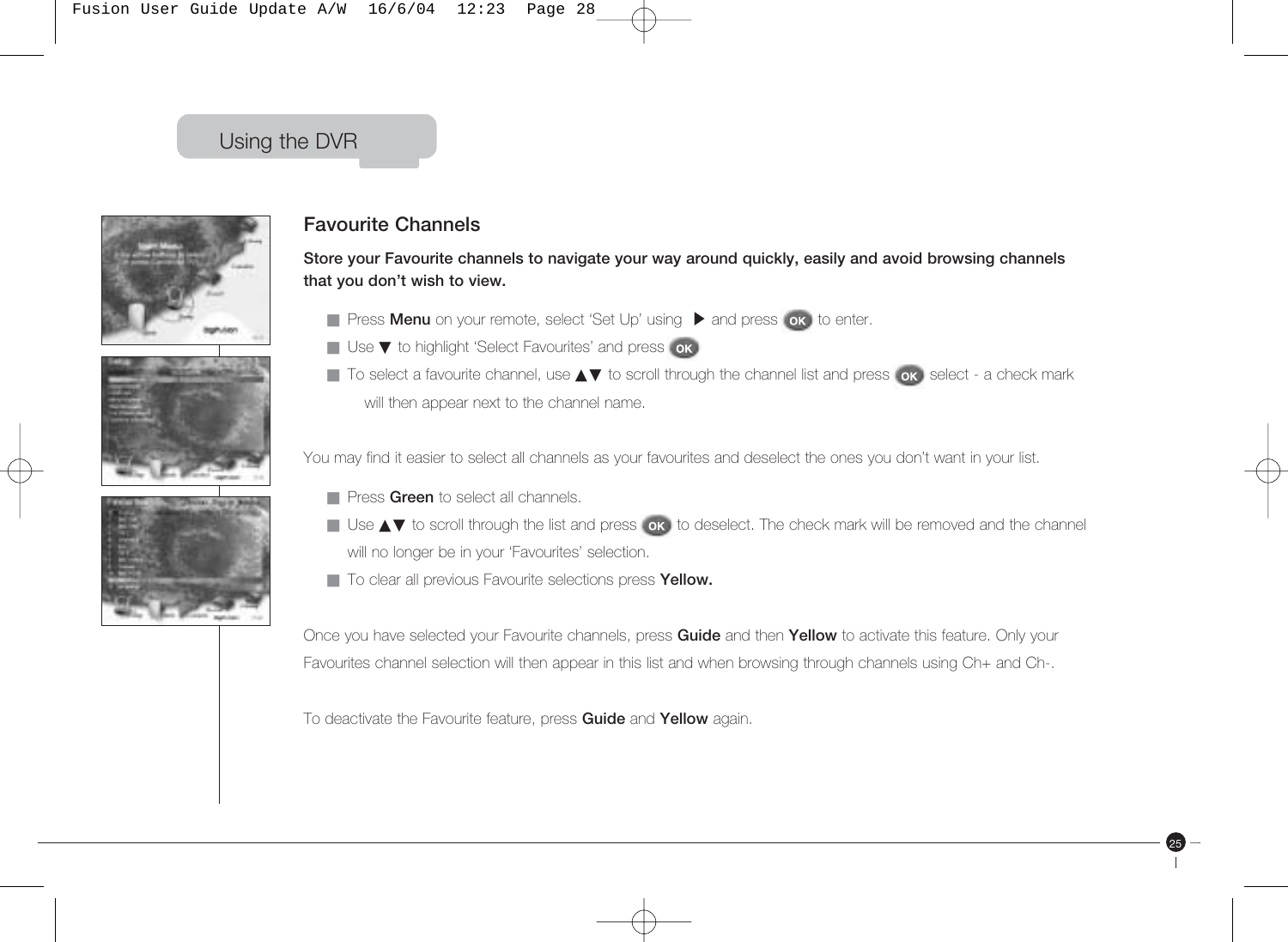





#### **Favourite Channels**

**Store your Favourite channels to navigate your way around quickly, easily and avoid browsing channels that you don't wish to view.**

- Press **Menu** on your remote, select 'Set Up' using ▶ and press **ok**, to enter.
- Use ▼ to highlight 'Select Favourites' and press ok
- To select a favourite channel, use ▲▼ to scroll through the channel list and press ok select a check mark will then appear next to the channel name.

You may find it easier to select all channels as your favourites and deselect the ones you don't want in your list.

- **Press Green** to select all channels.
- Use ▲▼ to scroll through the list and press or to deselect. The check mark will be removed and the channel will no longer be in your 'Favourites' selection.

25

■ To clear all previous Favourite selections press Yellow.

Once you have selected your Favourite channels, press **Guide** and then **Yellow** to activate this feature. Only your Favourites channel selection will then appear in this list and when browsing through channels using Ch+ and Ch-.

To deactivate the Favourite feature, press **Guide** and **Yellow** again.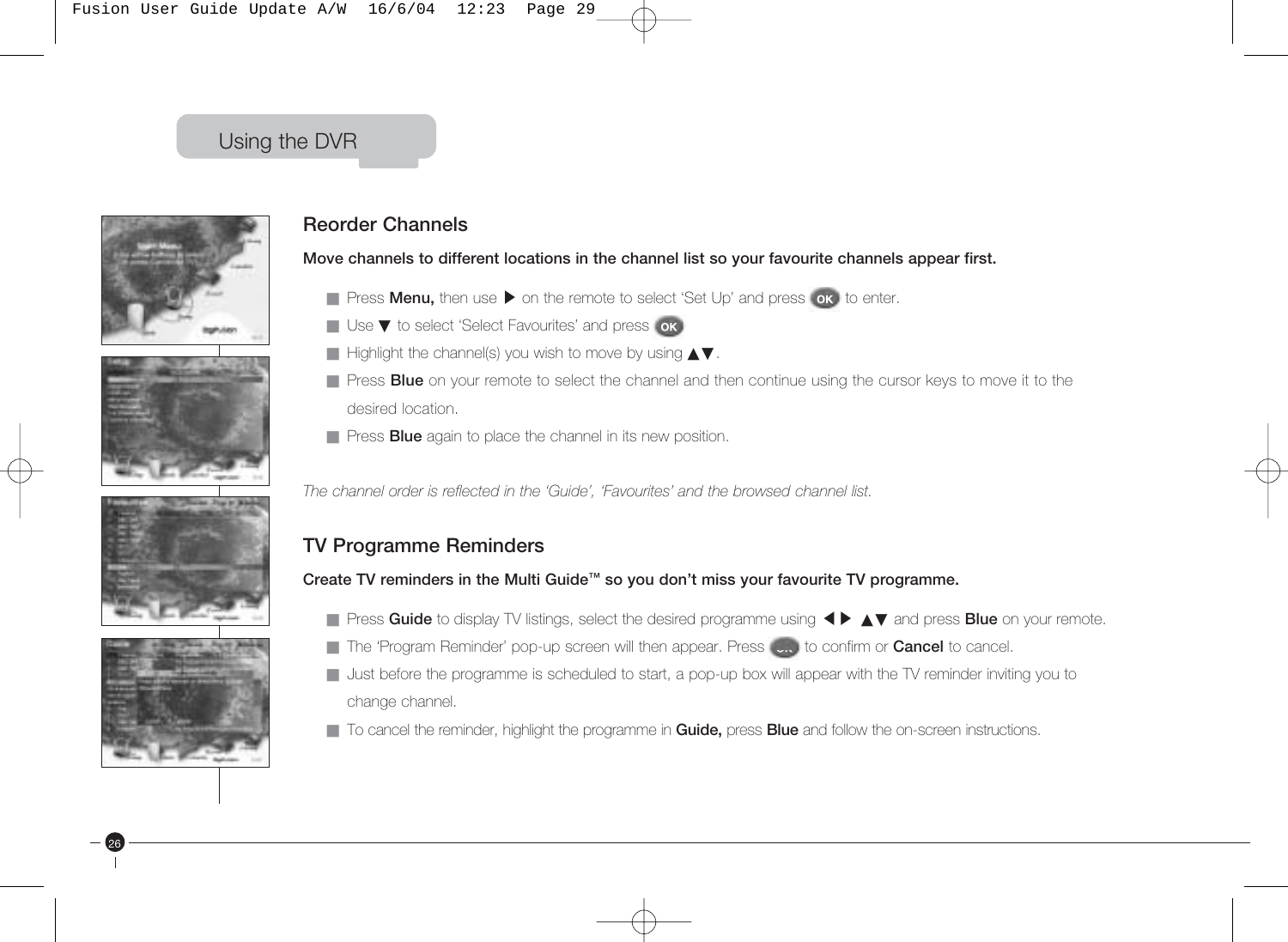







26

### **Reorder Channels**

**Move channels to different locations in the channel list so your favourite channels appear first.**

- Press **Menu,** then use ▶ on the remote to select 'Set Up' and press **ok**, to enter.
- Use ▼ to select 'Select Favourites' and press | ok |
- Highlight the channel(s) you wish to move by using  $\blacktriangle$ ▼.
- Press **Blue** on your remote to select the channel and then continue using the cursor keys to move it to the desired location.
- Press **Blue** again to place the channel in its new position.

*The channel order is reflected in the 'Guide', 'Favourites' and the browsed channel list.*

### **TV Programme Reminders**

**Create TV reminders in the Multi Guide™ so you don't miss your favourite TV programme.**

- Press **Guide** to display TV listings, select the desired programme using <▶ ▲▼ and press **Blue** on your remote.
- The 'Program Reminder' pop-up screen will then appear. Press (cn) to confirm or **Cancel** to cancel.
- Just before the programme is scheduled to start, a pop-up box will appear with the TV reminder inviting you to change channel.
- To cancel the reminder, highlight the programme in **Guide,** press **Blue** and follow the on-screen instructions.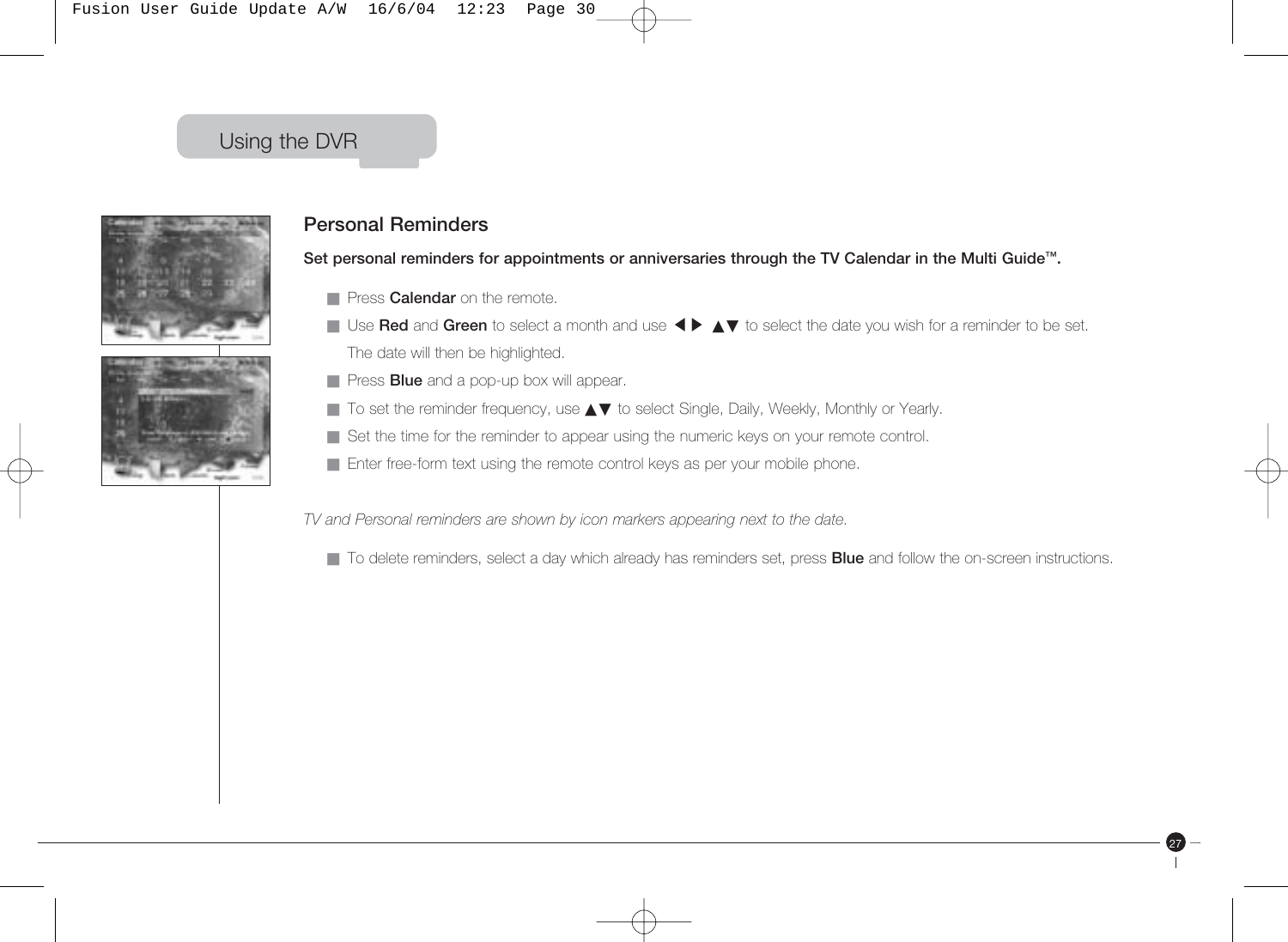



#### **Personal Reminders**

**Set personal reminders for appointments or anniversaries through the TV Calendar in the Multi Guide™.**

- **E** Press **Calendar** on the remote.
- Thess **Galerican** on the remote.<br>■ Use **Red** and **Green** to select a month and use ◀▶ ▲▼ to select the date you wish for a reminder to be set. The date will then be highlighted.
- Press **Blue** and a pop-up box will appear.
- To set the reminder frequency, use ▲▼ to select Single, Daily, Weekly, Monthly or Yearly.
- Set the time for the reminder to appear using the numeric keys on your remote control.
- Enter free-form text using the remote control keys as per your mobile phone.

*TV and Personal reminders are shown by icon markers appearing next to the date.*

■ To delete reminders, select a day which already has reminders set, press **Blue** and follow the on-screen instructions.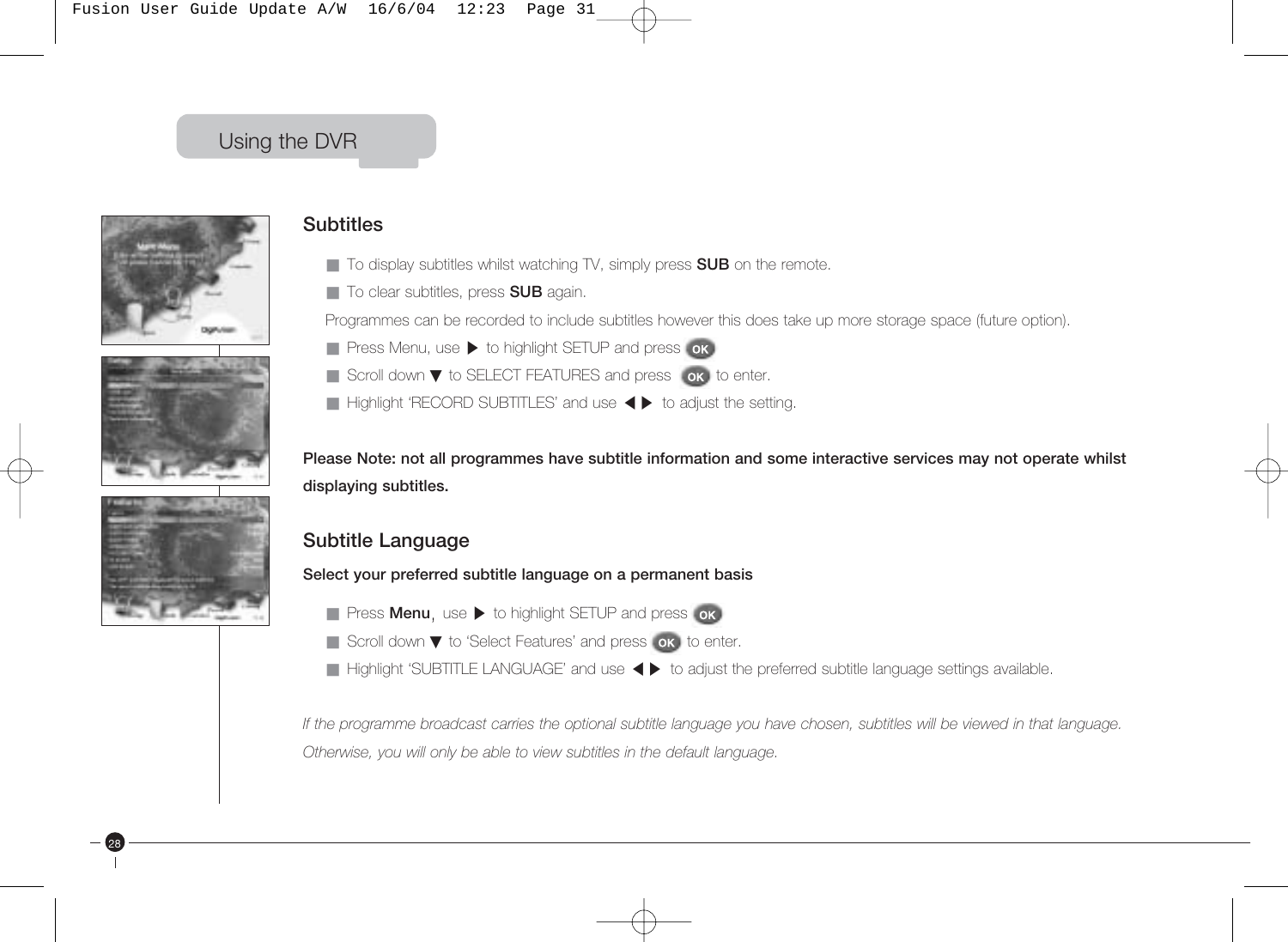





28

#### **Subtitles**

- To display subtitles whilst watching TV, simply press SUB on the remote.
- To clear subtitles, press **SUB** again.

Programmes can be recorded to include subtitles however this does take up more storage space (future option).

- Press Menu, use-to highlight SETUP and press
- Scroll down ▼ to SELECT FEATURES and press ok to enter.
- Scroll down to SELLOTTEATORES and pless Fox to enter.<br>■ Highlight 'RECORD SUBTITLES' and use <▶ to adjust the setting.

**Please Note: not all programmes have subtitle information and some interactive services may not operate whilst displaying subtitles.**

#### **Subtitle Language**

**Select your preferred subtitle language on a permanent basis**

- Press **Menu**, use ▶ to highlight SETUP and press
- Scroll down ▼ to 'Select Features' and press ok to enter.
- Beroir down to belock reatarcs and press for to enter.<br>■ Highlight 'SUBTITLE LANGUAGE' and use ◀ ▶ to adjust the preferred subtitle language settings available.

*If the programme broadcast carries the optional subtitle language you have chosen, subtitles will be viewed in that language. Otherwise, you will only be able to view subtitles in the default language.*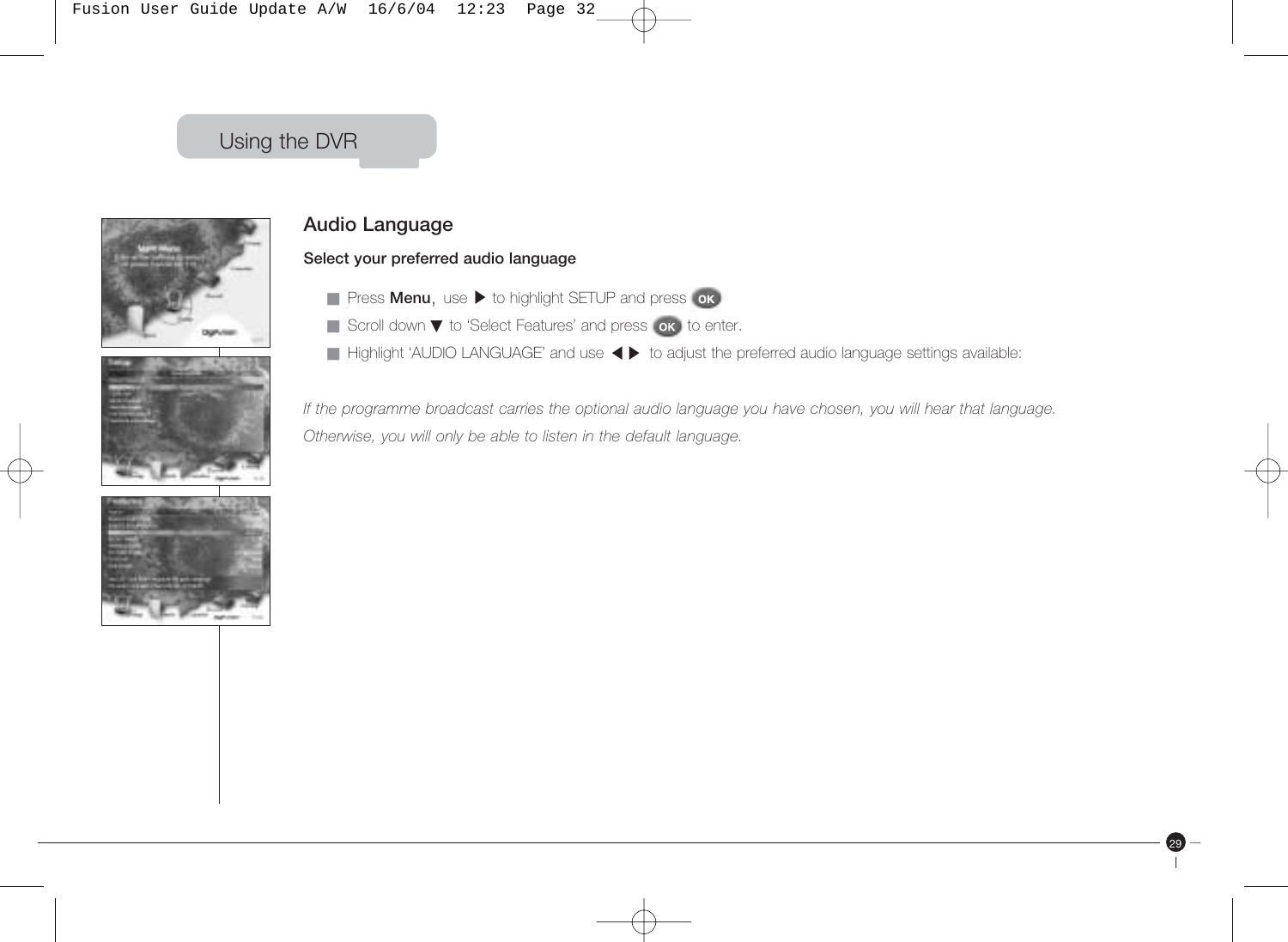



### **Audio Language**

#### **Select your preferred audio language**

- Press **Menu**, use ▶ to highlight SETUP and press
- Scroll down ▼ to 'Select Features' and press ok to enter.
- edion down to edident datable and press for the enter.<br>■ Highlight 'AUDIO LANGUAGE' and use <▶ to adjust the preferred audio language settings available:

*If the programme broadcast carries the optional audio language you have chosen, you will hear that language. Otherwise, you will only be able to listen in the default language.*

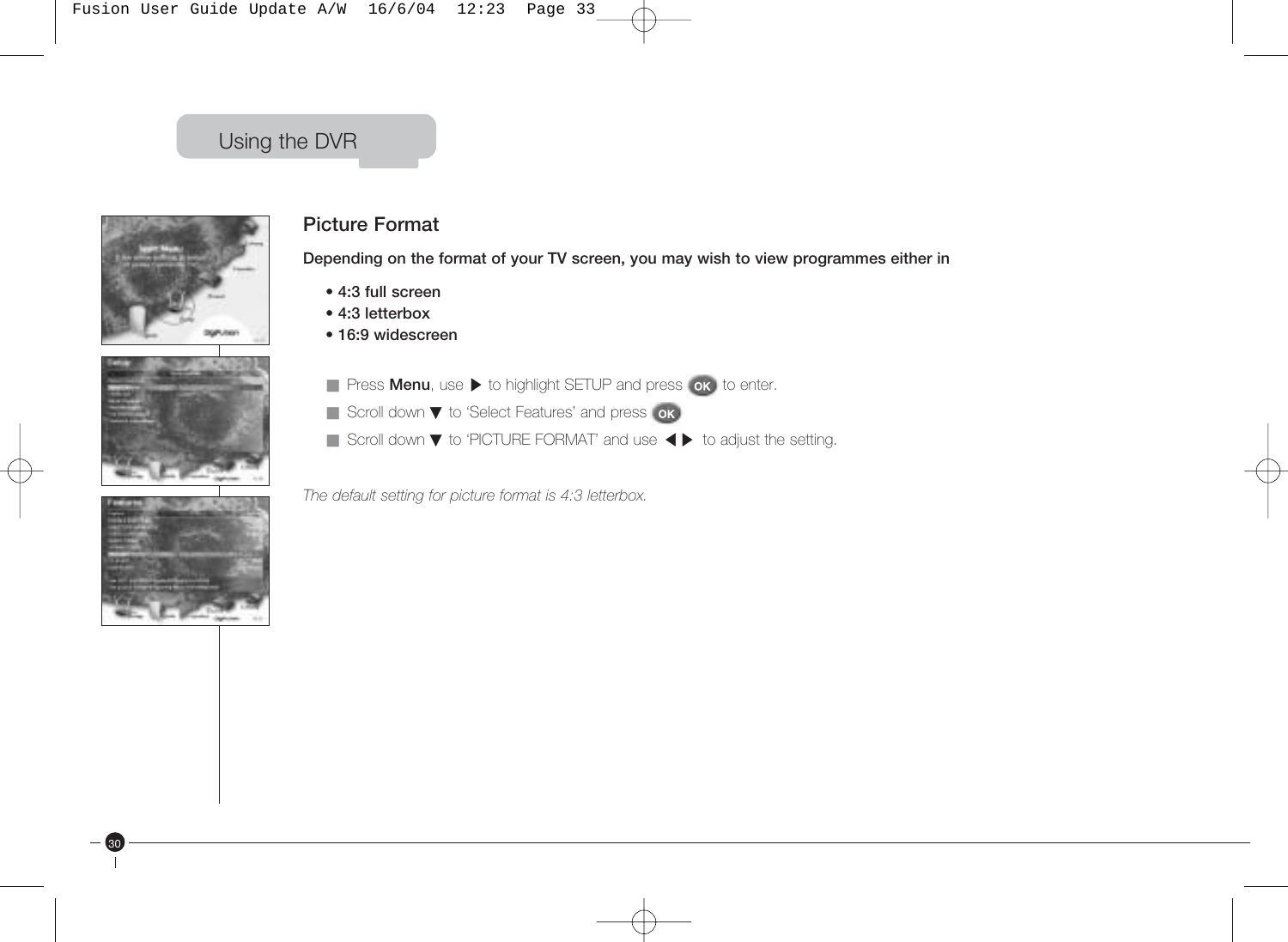





30

### **Picture Format**

**Depending on the format of your TV screen, you may wish to view programmes either in** 

- **4:3 full screen**
- **4:3 letterbox**
- **16:9 widescreen**
- Press **Menu**, use ▶ to highlight SETUP and press **ok** to enter.
- Scroll down ▼ to 'Select Features' and press **ok**
- Scroll down ▼ to Select Features and press on<br>■ Scroll down ▼ to 'PICTURE FORMAT' and use ◀ ▶ to adjust the setting.

*The default setting for picture format is 4:3 letterbox.*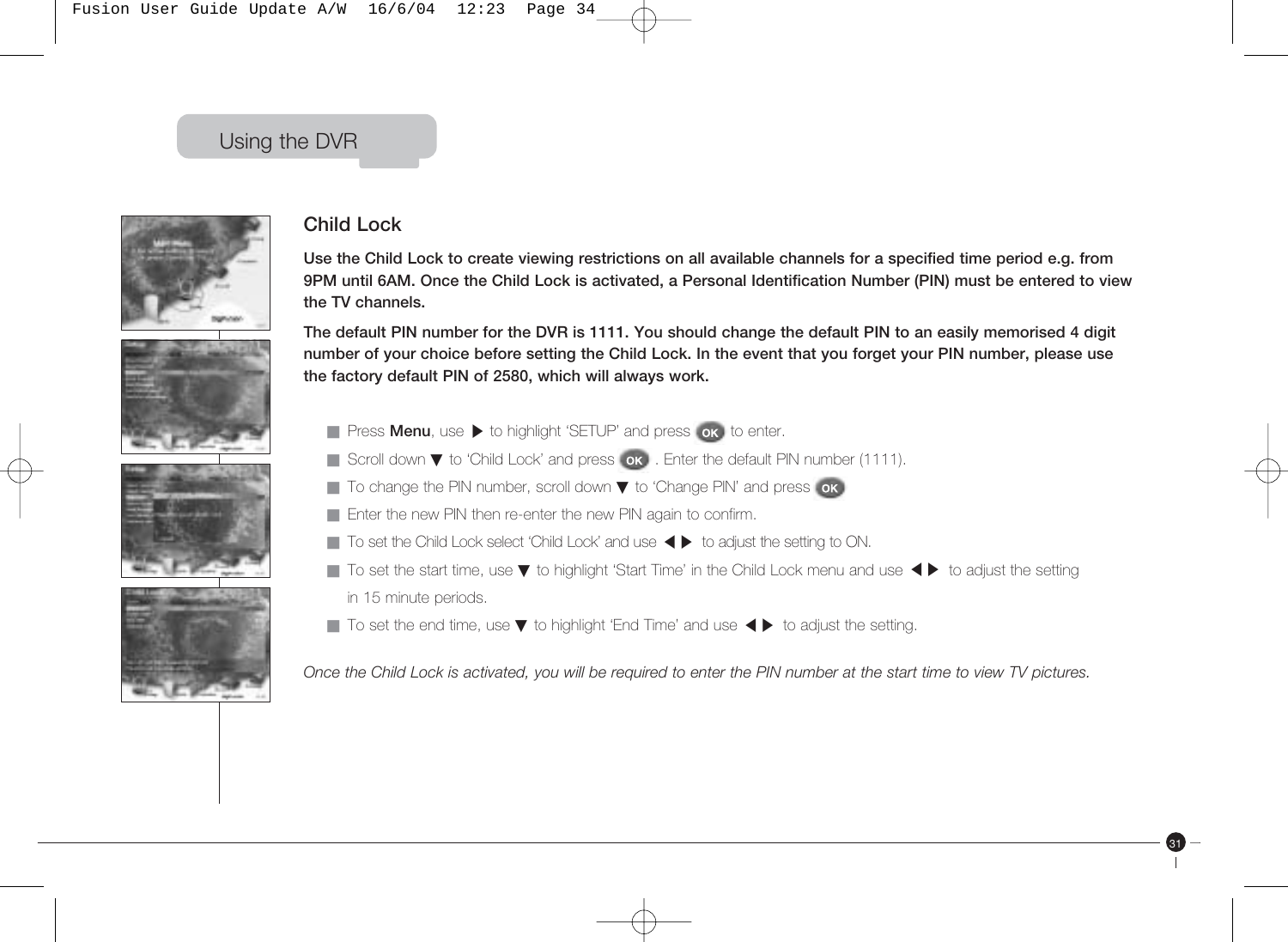









### **Child Lock**

**Use the Child Lock to create viewing restrictions on all available channels for a specified time period e.g. from 9PM until 6AM. Once the Child Lock is activated, a Personal Identification Number (PIN) must be entered to view the TV channels.**

**The default PIN number for the DVR is 1111. You should change the default PIN to an easily memorised 4 digit number of your choice before setting the Child Lock. In the event that you forget your PIN number, please use the factory default PIN of 2580, which will always work.**

- Press **Menu**, use ▶ to highlight 'SETUP' and press **ok**, to enter.
- Scroll down ▼ to 'Child Lock' and press ok . Enter the default PIN number (1111).
- To change the PIN number, scroll down ▼ to 'Change PIN' and press ok
- Enter the new PIN then re-enter the new PIN again to confirm.
- End the new my therme ends the new my again to common.<br>■ To set the Child Lock select 'Child Lock' and use ◀ ▶ to adjust the setting to ON.
- To set the start time, use ▼ to highlight 'Start Time' in the Child Lock menu and use ◀▶ to adjust the setting in 15 minute periods.
- To set the end time, use ▼ to highlight 'End Time' and use ◀▶ to adjust the setting.

*Once the Child Lock is activated, you will be required to enter the PIN number at the start time to view TV pictures.*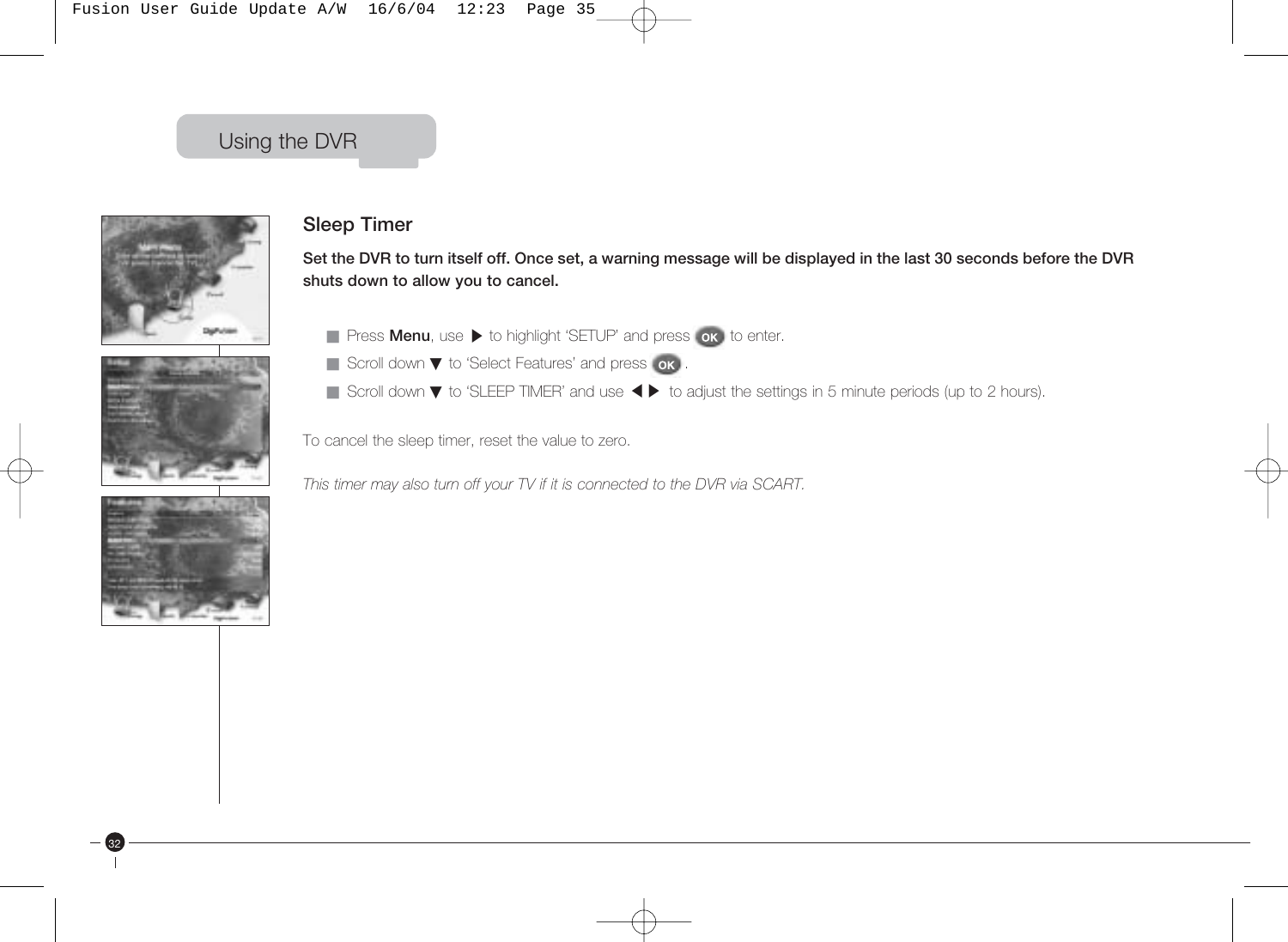





32

#### **Sleep Timer**

**Set the DVR to turn itself off. Once set, a warning message will be displayed in the last 30 seconds before the DVR shuts down to allow you to cancel.** 

- Press **Menu**, use ▶ to highlight 'SETUP' and press **ok** to enter.
- Scroll down ▼ to 'Select Features' and press . ok .
- Scroll down ▼ to Select i eatures and press for .<br>■ Scroll down ▼ to 'SLEEP TIMER' and use ◀ ▶ to adjust the settings in 5 minute periods (up to 2 hours).

To cancel the sleep timer, reset the value to zero.

*This timer may also turn off your TV if it is connected to the DVR via SCART.*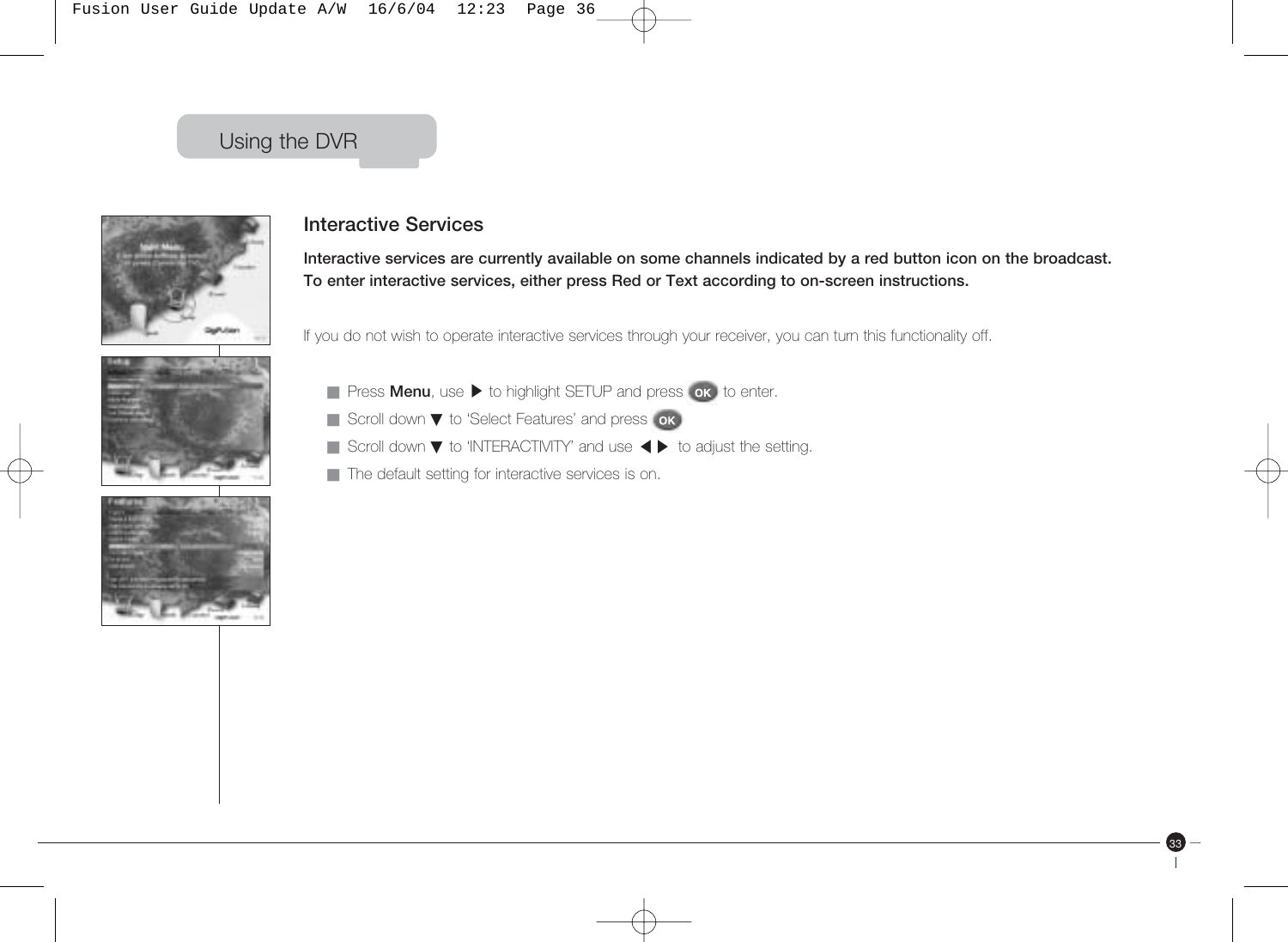



#### **Interactive Services**

**Interactive services are currently available on some channels indicated by a red button icon on the broadcast. To enter interactive services, either press Red or Text according to on-screen instructions.**

33

If you do not wish to operate interactive services through your receiver, you can turn this functionality off.

- Press **Menu**, use ▶ to highlight SETUP and press **ok** to enter.
- Scroll down ▼ to 'Select Features' and press | ok |
- Scroll down ▼ to Science Features and press SK<br>■ Scroll down ▼ to 'INTERACTIVITY' and use ◀ ▶ to adjust the setting.
- The default setting for interactive services is on.

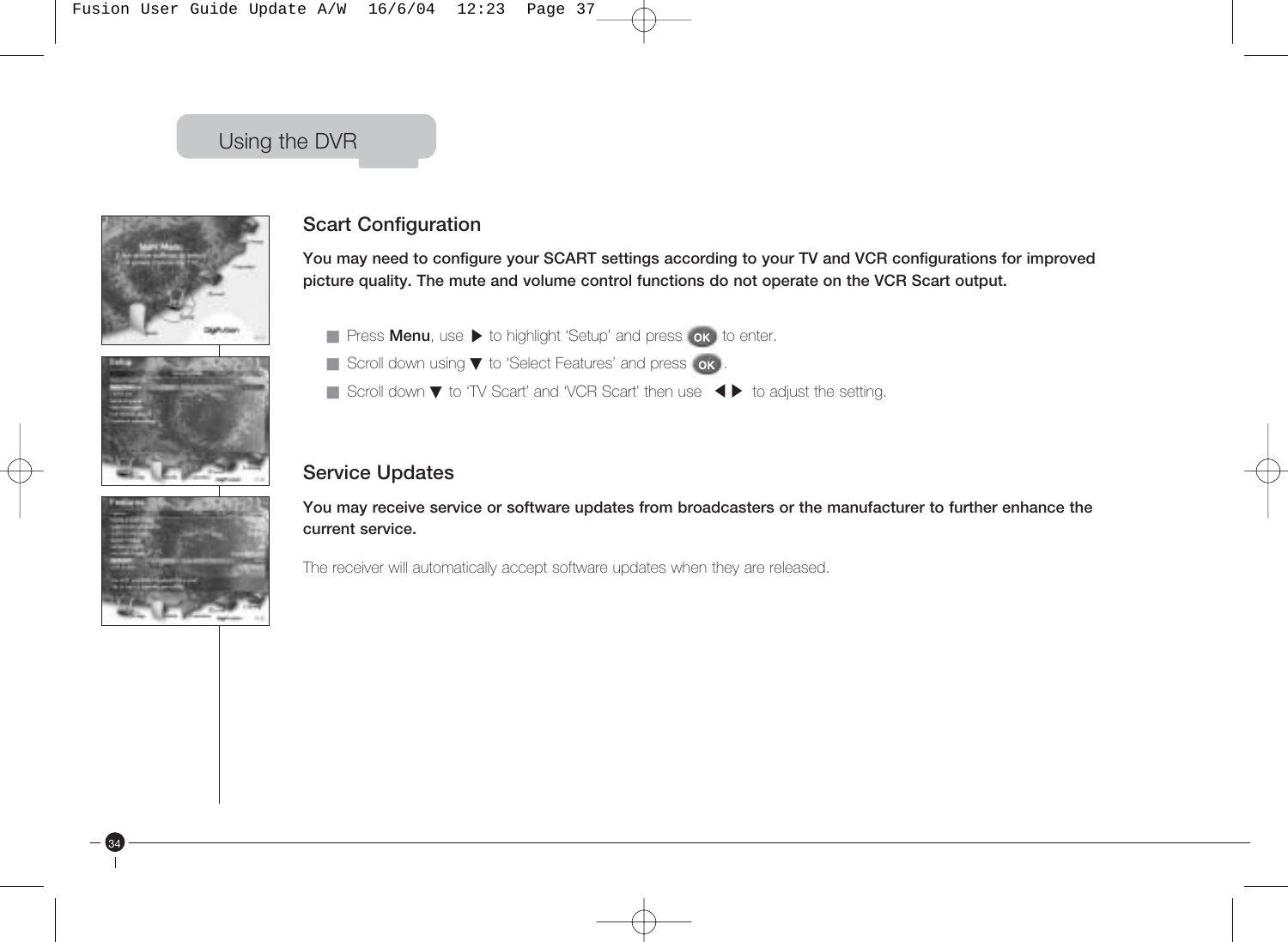Fusion User Guide Update A/W 16/6/04 12:23 Page 37

### Using the DVR







34

### **Scart Configuration**

**You may need to configure your SCART settings according to your TV and VCR configurations for improved picture quality. The mute and volume control functions do not operate on the VCR Scart output.**

- Press **Menu**, use ▶ to highlight 'Setup' and press **ok** to enter.
- Scroll down using ▼ to 'Select Features' and press **ok**
- Scroll down using ▼ to Select Features and press on the setting.<br>■ Scroll down ▼ to 'TV Scart' and 'VCR Scart' then use <▶ to adjust the setting.

### **Service Updates**

**You may receive service or software updates from broadcasters or the manufacturer to further enhance the current service.**

The receiver will automatically accept software updates when they are released.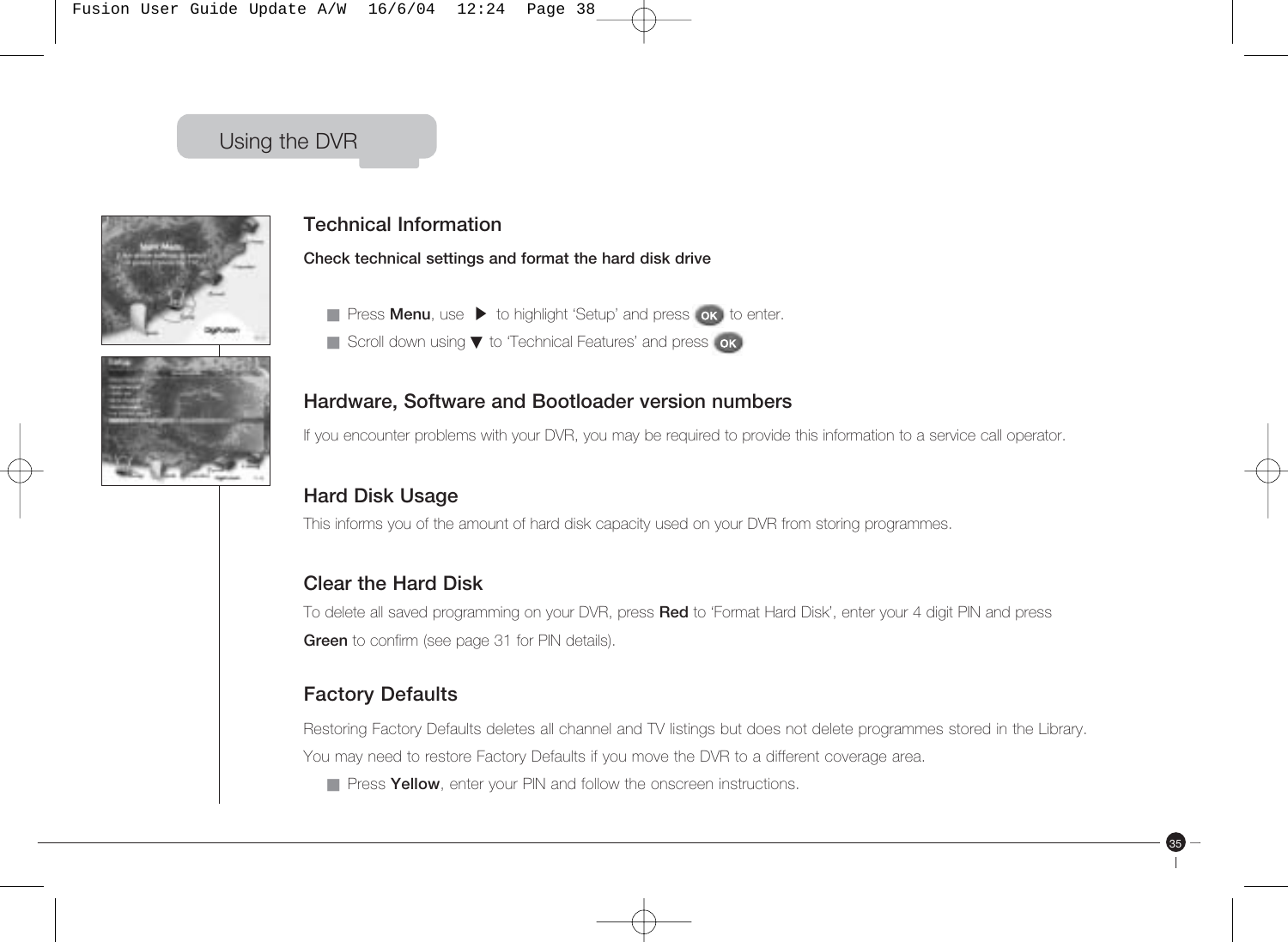



### **Technical Information**

**Check technical settings and format the hard disk drive** 

- Press **Menu**, use ▶ to highlight 'Setup' and press **ok** to enter.
- Scroll down using ▼ to 'Technical Features' and press ok

#### **Hardware, Software and Bootloader version numbers**

If you encounter problems with your DVR, you may be required to provide this information to a service call operator.

### **Hard Disk Usage**

This informs you of the amount of hard disk capacity used on your DVR from storing programmes.

#### **Clear the Hard Disk**

To delete all saved programming on your DVR, press **Red** to 'Format Hard Disk', enter your 4 digit PIN and press **Green** to confirm (see page 31 for PIN details).

### **Factory Defaults**

Restoring Factory Defaults deletes all channel and TV listings but does not delete programmes stored in the Library. You may need to restore Factory Defaults if you move the DVR to a different coverage area.

35

■ Press **Yellow**, enter your PIN and follow the onscreen instructions.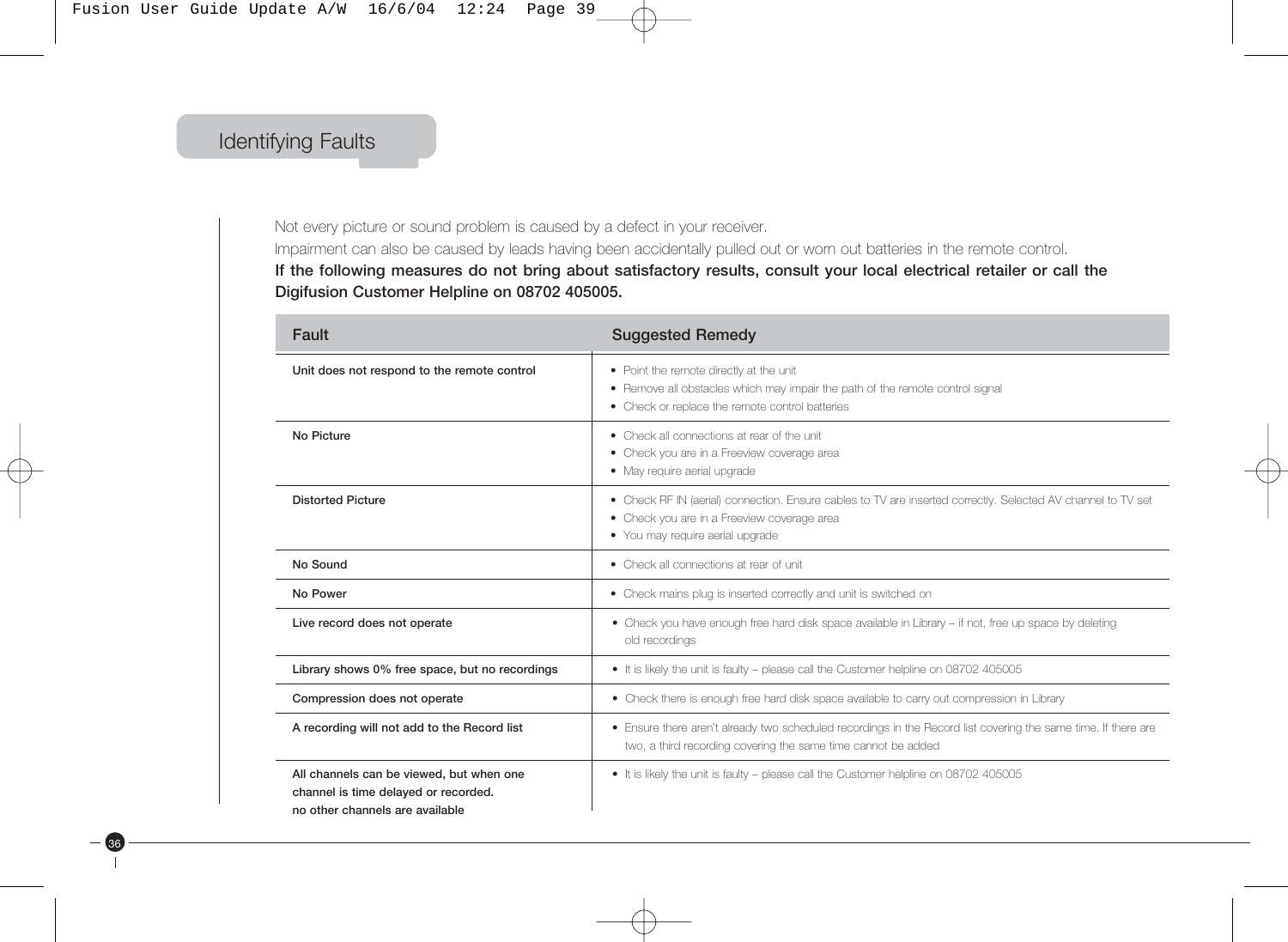### Identifying Faults

36

Not every picture or sound problem is caused by a defect in your receiver. Impairment can also be caused by leads having been accidentally pulled out or worn out batteries in the remote control. **If the following measures do not bring about satisfactory results, consult your local electrical retailer or call the Digifusion Customer Helpline on 08702 405005.**

| Fault                                                                                                               | <b>Suggested Remedy</b>                                                                                                                                                                         |  |
|---------------------------------------------------------------------------------------------------------------------|-------------------------------------------------------------------------------------------------------------------------------------------------------------------------------------------------|--|
| Unit does not respond to the remote control                                                                         | • Point the remote directly at the unit<br>• Remove all obstacles which may impair the path of the remote control signal<br>• Check or replace the remote control batteries                     |  |
| No Picture                                                                                                          | • Check all connections at rear of the unit<br>• Check you are in a Freeview coverage area<br>• May require aerial upgrade                                                                      |  |
| <b>Distorted Picture</b>                                                                                            | • Check RF IN (aerial) connection. Ensure cables to TV are inserted correctly. Selected AV channel to TV set<br>• Check you are in a Freeview coverage area<br>• You may require aerial upgrade |  |
| No Sound                                                                                                            | • Check all connections at rear of unit                                                                                                                                                         |  |
| No Power                                                                                                            | • Check mains plug is inserted correctly and unit is switched on                                                                                                                                |  |
| Live record does not operate                                                                                        | • Check you have enough free hard disk space available in Library - if not, free up space by deleting<br>old recordings                                                                         |  |
| Library shows 0% free space, but no recordings                                                                      | . It is likely the unit is faulty - please call the Customer helpline on 08702 405005                                                                                                           |  |
| Compression does not operate                                                                                        | • Check there is enough free hard disk space available to carry out compression in Library                                                                                                      |  |
| A recording will not add to the Record list                                                                         | • Ensure there aren't already two scheduled recordings in the Record list covering the same time. If there are<br>two, a third recording covering the same time cannot be added                 |  |
| All channels can be viewed, but when one<br>channel is time delaved or recorded.<br>no other channels are available | • It is likely the unit is faulty - please call the Customer helpline on 08702 405005                                                                                                           |  |